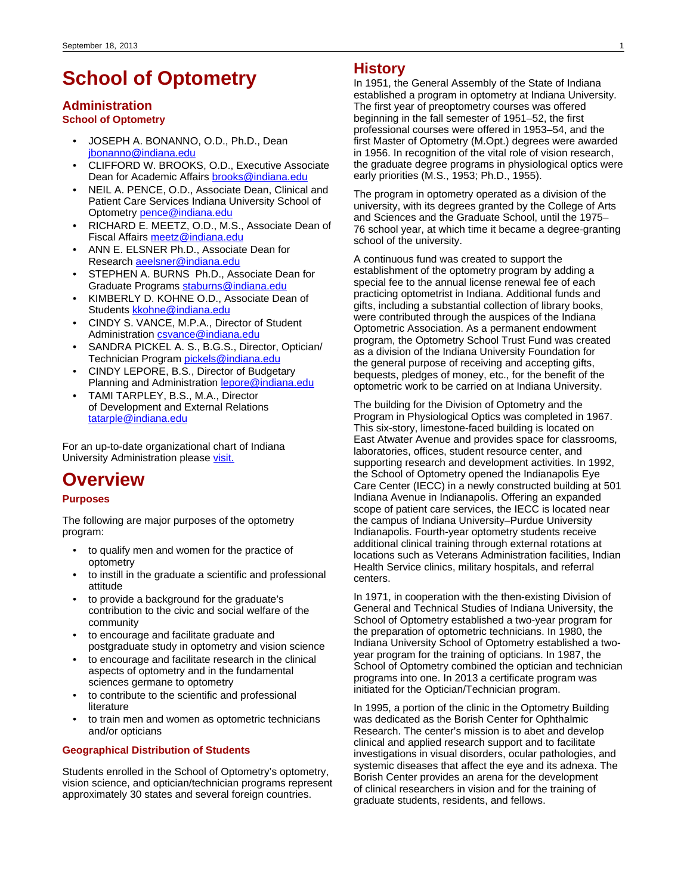# **School of Optometry**

# **Administration School of Optometry**

- JOSEPH A. BONANNO, O.D., Ph.D., Dean [jbonanno@indiana.edu](mailto:jbonanno@indiana.edu)
- CLIFFORD W. BROOKS, O.D., Executive Associate Dean for Academic Affairs [brooks@indiana.edu](mailto:brooks@indiana.edu)
- NEIL A. PENCE, O.D., Associate Dean, Clinical and Patient Care Services Indiana University School of Optometry [pence@indiana.edu](mailto:pence@indiana.edu)
- RICHARD E. MEETZ, O.D., M.S., Associate Dean of Fiscal Affairs [meetz@indiana.edu](mailto:meetz@indiana.edu)
- ANN E. ELSNER Ph.D., Associate Dean for Research [aeelsner@indiana.edu](mailto:aeelsner@indiana.edu)
- STEPHEN A. BURNS Ph.D., Associate Dean for Graduate Programs [staburns@indiana.edu](mailto:staburns@indiana.edu)
- KIMBERLY D. KOHNE O.D., Associate Dean of Students [kkohne@indiana.edu](mailto:kkohne@indiana.edu)
- CINDY S. VANCE, M.P.A., Director of Student Administration [csvance@indiana.edu](mailto:csvance@indiana.edu)
- SANDRA PICKEL A. S., B.G.S., Director, Optician/ Technician Program [pickels@indiana.edu](mailto:pickels@indiana.edu)
- CINDY LEPORE, B.S., Director of Budgetary Planning and Administration [lepore@indiana.edu](mailto:lepore@indiana.edu)
- TAMI TARPLEY, B.S., M.A., Director of Development and External Relations [tatarple@indiana.edu](mailto:tatarple@indiana.edu)

For an up-to-date organizational chart of Indiana University Administration please [visit.](http://www.indiana.edu/about/org-chart.shtml)

# **Overview**

# **Purposes**

The following are major purposes of the optometry program:

- to qualify men and women for the practice of optometry
- to instill in the graduate a scientific and professional attitude
- to provide a background for the graduate's contribution to the civic and social welfare of the community
- to encourage and facilitate graduate and postgraduate study in optometry and vision science
- to encourage and facilitate research in the clinical aspects of optometry and in the fundamental sciences germane to optometry
- to contribute to the scientific and professional literature
- to train men and women as optometric technicians and/or opticians

# **Geographical Distribution of Students**

Students enrolled in the School of Optometry's optometry, vision science, and optician/technician programs represent approximately 30 states and several foreign countries.

# **History**

In 1951, the General Assembly of the State of Indiana established a program in optometry at Indiana University. The first year of preoptometry courses was offered beginning in the fall semester of 1951–52, the first professional courses were offered in 1953–54, and the first Master of Optometry (M.Opt.) degrees were awarded in 1956. In recognition of the vital role of vision research, the graduate degree programs in physiological optics were early priorities (M.S., 1953; Ph.D., 1955).

The program in optometry operated as a division of the university, with its degrees granted by the College of Arts and Sciences and the Graduate School, until the 1975– 76 school year, at which time it became a degree-granting school of the university.

A continuous fund was created to support the establishment of the optometry program by adding a special fee to the annual license renewal fee of each practicing optometrist in Indiana. Additional funds and gifts, including a substantial collection of library books, were contributed through the auspices of the Indiana Optometric Association. As a permanent endowment program, the Optometry School Trust Fund was created as a division of the Indiana University Foundation for the general purpose of receiving and accepting gifts, bequests, pledges of money, etc., for the benefit of the optometric work to be carried on at Indiana University.

The building for the Division of Optometry and the Program in Physiological Optics was completed in 1967. This six-story, limestone-faced building is located on East Atwater Avenue and provides space for classrooms, laboratories, offices, student resource center, and supporting research and development activities. In 1992, the School of Optometry opened the Indianapolis Eye Care Center (IECC) in a newly constructed building at 501 Indiana Avenue in Indianapolis. Offering an expanded scope of patient care services, the IECC is located near the campus of Indiana University–Purdue University Indianapolis. Fourth-year optometry students receive additional clinical training through external rotations at locations such as Veterans Administration facilities, Indian Health Service clinics, military hospitals, and referral centers.

In 1971, in cooperation with the then-existing Division of General and Technical Studies of Indiana University, the School of Optometry established a two-year program for the preparation of optometric technicians. In 1980, the Indiana University School of Optometry established a twoyear program for the training of opticians. In 1987, the School of Optometry combined the optician and technician programs into one. In 2013 a certificate program was initiated for the Optician/Technician program.

In 1995, a portion of the clinic in the Optometry Building was dedicated as the Borish Center for Ophthalmic Research. The center's mission is to abet and develop clinical and applied research support and to facilitate investigations in visual disorders, ocular pathologies, and systemic diseases that affect the eye and its adnexa. The Borish Center provides an arena for the development of clinical researchers in vision and for the training of graduate students, residents, and fellows.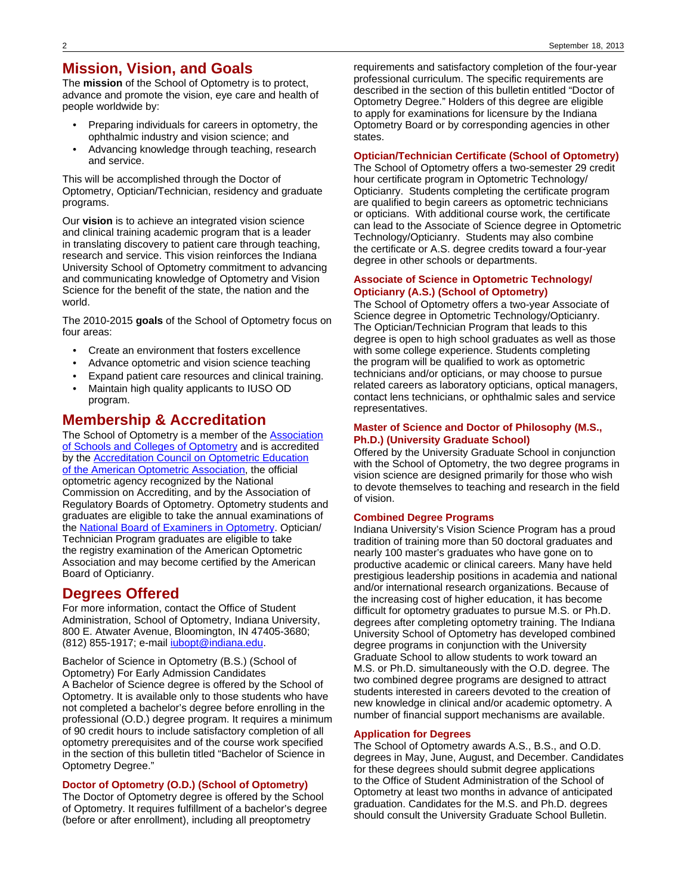# **Mission, Vision, and Goals**

The **mission** of the School of Optometry is to protect, advance and promote the vision, eye care and health of people worldwide by:

- Preparing individuals for careers in optometry, the ophthalmic industry and vision science; and
- Advancing knowledge through teaching, research and service.

This will be accomplished through the Doctor of Optometry, Optician/Technician, residency and graduate programs.

Our **vision** is to achieve an integrated vision science and clinical training academic program that is a leader in translating discovery to patient care through teaching, research and service. This vision reinforces the Indiana University School of Optometry commitment to advancing and communicating knowledge of Optometry and Vision Science for the benefit of the state, the nation and the world.

The 2010-2015 **goals** of the School of Optometry focus on four areas:

- Create an environment that fosters excellence
- Advance optometric and vision science teaching
- Expand patient care resources and clinical training.
- Maintain high quality applicants to IUSO OD program.

# **Membership & Accreditation**

The School of Optometry is a member of the **[Association](http://www.opted.org/i4a/pages/index.cfm?pageid=1)** [of Schools and Colleges of Optometry](http://www.opted.org/i4a/pages/index.cfm?pageid=1) and is accredited by the [Accreditation Council on Optometric Education](http://www.arbo.org/) [of the American Optometric Association](http://www.arbo.org/), the official optometric agency recognized by the National Commission on Accrediting, and by the Association of Regulatory Boards of Optometry. Optometry students and graduates are eligible to take the annual examinations of the [National Board of Examiners in Optometry.](http://www.optometry.org/) Optician/ Technician Program graduates are eligible to take the registry examination of the American Optometric Association and may become certified by the American Board of Opticianry.

# **Degrees Offered**

For more information, contact the Office of Student Administration, School of Optometry, Indiana University, 800 E. Atwater Avenue, Bloomington, IN 47405-3680; (812) 855-1917; e-mail *iubopt@indiana.edu*.

Bachelor of Science in Optometry (B.S.) (School of Optometry) For Early Admission Candidates A Bachelor of Science degree is offered by the School of Optometry. It is available only to those students who have not completed a bachelor's degree before enrolling in the professional (O.D.) degree program. It requires a minimum of 90 credit hours to include satisfactory completion of all optometry prerequisites and of the course work specified in the section of this bulletin titled "Bachelor of Science in Optometry Degree."

## **Doctor of Optometry (O.D.) (School of Optometry)**

The Doctor of Optometry degree is offered by the School of Optometry. It requires fulfillment of a bachelor's degree (before or after enrollment), including all preoptometry

requirements and satisfactory completion of the four-year professional curriculum. The specific requirements are described in the section of this bulletin entitled "Doctor of Optometry Degree." Holders of this degree are eligible to apply for examinations for licensure by the Indiana Optometry Board or by corresponding agencies in other states.

#### **Optician/Technician Certificate (School of Optometry)**

The School of Optometry offers a two-semester 29 credit hour certificate program in Optometric Technology/ Opticianry. Students completing the certificate program are qualified to begin careers as optometric technicians or opticians. With additional course work, the certificate can lead to the Associate of Science degree in Optometric Technology/Opticianry. Students may also combine the certificate or A.S. degree credits toward a four-year degree in other schools or departments.

### **Associate of Science in Optometric Technology/ Opticianry (A.S.) (School of Optometry)**

The School of Optometry offers a two-year Associate of Science degree in Optometric Technology/Opticianry. The Optician/Technician Program that leads to this degree is open to high school graduates as well as those with some college experience. Students completing the program will be qualified to work as optometric technicians and/or opticians, or may choose to pursue related careers as laboratory opticians, optical managers, contact lens technicians, or ophthalmic sales and service representatives.

# **Master of Science and Doctor of Philosophy (M.S., Ph.D.) (University Graduate School)**

Offered by the University Graduate School in conjunction with the School of Optometry, the two degree programs in vision science are designed primarily for those who wish to devote themselves to teaching and research in the field of vision.

#### **Combined Degree Programs**

Indiana University's Vision Science Program has a proud tradition of training more than 50 doctoral graduates and nearly 100 master's graduates who have gone on to productive academic or clinical careers. Many have held prestigious leadership positions in academia and national and/or international research organizations. Because of the increasing cost of higher education, it has become difficult for optometry graduates to pursue M.S. or Ph.D. degrees after completing optometry training. The Indiana University School of Optometry has developed combined degree programs in conjunction with the University Graduate School to allow students to work toward an M.S. or Ph.D. simultaneously with the O.D. degree. The two combined degree programs are designed to attract students interested in careers devoted to the creation of new knowledge in clinical and/or academic optometry. A number of financial support mechanisms are available.

#### **Application for Degrees**

The School of Optometry awards A.S., B.S., and O.D. degrees in May, June, August, and December. Candidates for these degrees should submit degree applications to the Office of Student Administration of the School of Optometry at least two months in advance of anticipated graduation. Candidates for the M.S. and Ph.D. degrees should consult the University Graduate School Bulletin.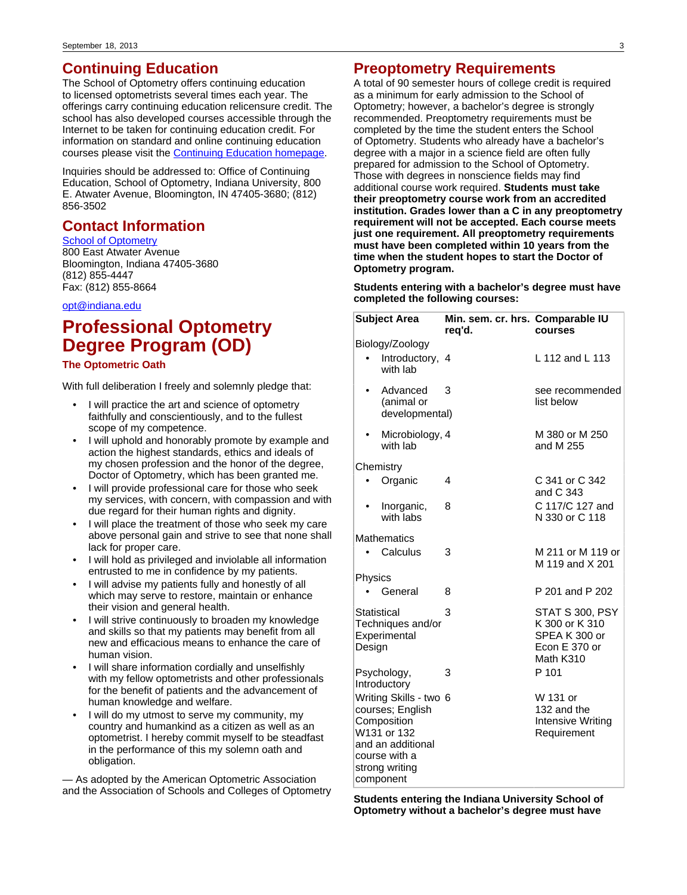# **Continuing Education**

The School of Optometry offers continuing education to licensed optometrists several times each year. The offerings carry continuing education relicensure credit. The school has also developed courses accessible through the Internet to be taken for continuing education credit. For information on standard and online continuing education courses please visit the [Continuing Education homepage.](http://www.optometry.iu.edu/continuing-education/index.shtml)

Inquiries should be addressed to: Office of Continuing Education, School of Optometry, Indiana University, 800 E. Atwater Avenue, Bloomington, IN 47405-3680; (812) 856-3502

# **Contact Information**

#### **[School of Optometry](http://www.optometry.iu.edu)**

800 East Atwater Avenue Bloomington, Indiana 47405-3680 (812) 855-4447 Fax: (812) 855-8664

[opt@indiana.edu](mailto:opt@indiana.edu)

# **Professional Optometry Degree Program (OD)**

## **The Optometric Oath**

With full deliberation I freely and solemnly pledge that:

- I will practice the art and science of optometry faithfully and conscientiously, and to the fullest scope of my competence.
- I will uphold and honorably promote by example and action the highest standards, ethics and ideals of my chosen profession and the honor of the degree, Doctor of Optometry, which has been granted me.
- I will provide professional care for those who seek my services, with concern, with compassion and with due regard for their human rights and dignity.
- I will place the treatment of those who seek my care above personal gain and strive to see that none shall lack for proper care.
- I will hold as privileged and inviolable all information entrusted to me in confidence by my patients.
- I will advise my patients fully and honestly of all which may serve to restore, maintain or enhance their vision and general health.
- I will strive continuously to broaden my knowledge and skills so that my patients may benefit from all new and efficacious means to enhance the care of human vision.
- I will share information cordially and unselfishly with my fellow optometrists and other professionals for the benefit of patients and the advancement of human knowledge and welfare.
- I will do my utmost to serve my community, my country and humankind as a citizen as well as an optometrist. I hereby commit myself to be steadfast in the performance of this my solemn oath and obligation.

— As adopted by the American Optometric Association and the Association of Schools and Colleges of Optometry

# **Preoptometry Requirements**

A total of 90 semester hours of college credit is required as a minimum for early admission to the School of Optometry; however, a bachelor's degree is strongly recommended. Preoptometry requirements must be completed by the time the student enters the School of Optometry. Students who already have a bachelor's degree with a major in a science field are often fully prepared for admission to the School of Optometry. Those with degrees in nonscience fields may find additional course work required. **Students must take their preoptometry course work from an accredited institution. Grades lower than a C in any preoptometry requirement will not be accepted. Each course meets just one requirement. All preoptometry requirements must have been completed within 10 years from the time when the student hopes to start the Doctor of Optometry program.**

**Students entering with a bachelor's degree must have completed the following courses:**

| <b>Subject Area</b>                                                                                                                           | Min. sem. cr. hrs. Comparable IU<br>req'd. | courses                                                                                 |
|-----------------------------------------------------------------------------------------------------------------------------------------------|--------------------------------------------|-----------------------------------------------------------------------------------------|
| Biology/Zoology<br>Introductory, 4<br>with lab                                                                                                |                                            | L 112 and L 113                                                                         |
| Advanced<br>(animal or<br>developmental)                                                                                                      | 3                                          | see recommended<br>list below                                                           |
| Microbiology, 4<br>with lab                                                                                                                   |                                            | M 380 or M 250<br>and M 255                                                             |
| Chemistry                                                                                                                                     |                                            |                                                                                         |
| Organic                                                                                                                                       | 4                                          | C 341 or C 342<br>and C 343                                                             |
| Inorganic,<br>with labs                                                                                                                       | 8                                          | C 117/C 127 and<br>N 330 or C 118                                                       |
| <b>Mathematics</b>                                                                                                                            |                                            |                                                                                         |
| Calculus                                                                                                                                      | 3                                          | M 211 or M 119 or<br>M 119 and X 201                                                    |
| Physics                                                                                                                                       |                                            |                                                                                         |
| General                                                                                                                                       | 8                                          | P 201 and P 202                                                                         |
| Statistical<br>Techniques and/or<br>Experimental<br>Design                                                                                    | 3                                          | <b>STAT S 300, PSY</b><br>K 300 or K 310<br>SPEA K 300 or<br>Econ E 370 or<br>Math K310 |
| Psychology,<br>Introductory                                                                                                                   | 3                                          | P 101                                                                                   |
| Writing Skills - two 6<br>courses; English<br>Composition<br>W131 or 132<br>and an additional<br>course with a<br>strong writing<br>component |                                            | W 131 or<br>132 and the<br>Intensive Writing<br>Requirement                             |

**Students entering the Indiana University School of Optometry without a bachelor's degree must have**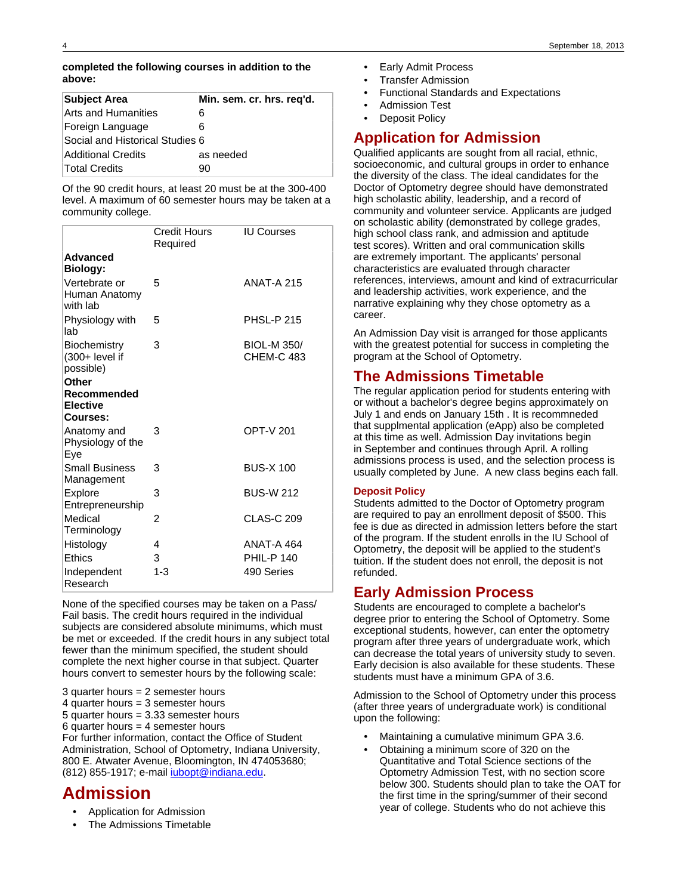**completed the following courses in addition to the above:**

| <b>Subject Area</b>             | Min. sem. cr. hrs. reg'd. |
|---------------------------------|---------------------------|
| Arts and Humanities             | 6                         |
| Foreign Language                | 6                         |
| Social and Historical Studies 6 |                           |
| <b>Additional Credits</b>       | as needed                 |
| Total Credits                   | 90                        |

Of the 90 credit hours, at least 20 must be at the 300-400 level. A maximum of 60 semester hours may be taken at a community college.

|                                                 | <b>Credit Hours</b><br>Required | <b>IU Courses</b>                       |
|-------------------------------------------------|---------------------------------|-----------------------------------------|
| Advanced<br>Biology:                            |                                 |                                         |
| Vertebrate or<br>Human Anatomy<br>with lah      | 5                               | <b>ANAT-A 215</b>                       |
| Physiology with<br>lab                          | 5                               | <b>PHSL-P 215</b>                       |
| Biochemistry<br>$(300 + level it)$<br>possible) | 3                               | <b>BIOL-M 350/</b><br><b>CHEM-C 483</b> |
| Other<br>Recommended<br>Elective<br>Courses:    |                                 |                                         |
| Anatomy and<br>Physiology of the<br>Eve         | 3                               | <b>OPT-V 201</b>                        |
| Small Business<br>Management                    | 3                               | <b>BUS-X 100</b>                        |
| Explore<br>Entrepreneurship                     | 3                               | <b>BUS-W 212</b>                        |
| Medical<br>Terminology                          | 2                               | <b>CLAS-C 209</b>                       |
| Histology                                       | 4                               | ANAT-A 464                              |
| Ethics                                          | 3                               | <b>PHIL-P 140</b>                       |
| Independent<br>Research                         | $1 - 3$                         | 490 Series                              |

None of the specified courses may be taken on a Pass/ Fail basis. The credit hours required in the individual subjects are considered absolute minimums, which must be met or exceeded. If the credit hours in any subject total fewer than the minimum specified, the student should complete the next higher course in that subject. Quarter hours convert to semester hours by the following scale:

- 3 quarter hours = 2 semester hours
- 4 quarter hours = 3 semester hours
- 5 quarter hours = 3.33 semester hours
- 6 quarter hours  $= 4$  semester hours

For further information, contact the Office of Student Administration, School of Optometry, Indiana University, 800 E. Atwater Avenue, Bloomington, IN 474053680; (812) 855-1917; e-mail [iubopt@indiana.edu.](mailto:iubopt@indiana.edu)

# **Admission**

- Application for Admission
- The Admissions Timetable
- Early Admit Process
- Transfer Admission
- Functional Standards and Expectations
- Admission Test
- Deposit Policy

# **Application for Admission**

Qualified applicants are sought from all racial, ethnic, socioeconomic, and cultural groups in order to enhance the diversity of the class. The ideal candidates for the Doctor of Optometry degree should have demonstrated high scholastic ability, leadership, and a record of community and volunteer service. Applicants are judged on scholastic ability (demonstrated by college grades, high school class rank, and admission and aptitude test scores). Written and oral communication skills are extremely important. The applicants' personal characteristics are evaluated through character references, interviews, amount and kind of extracurricular and leadership activities, work experience, and the narrative explaining why they chose optometry as a career.

An Admission Day visit is arranged for those applicants with the greatest potential for success in completing the program at the School of Optometry.

# **The Admissions Timetable**

The regular application period for students entering with or without a bachelor's degree begins approximately on July 1 and ends on January 15th . It is recommneded that supplmental application (eApp) also be completed at this time as well. Admission Day invitations begin in September and continues through April. A rolling admissions process is used, and the selection process is usually completed by June. A new class begins each fall.

# **Deposit Policy**

Students admitted to the Doctor of Optometry program are required to pay an enrollment deposit of \$500. This fee is due as directed in admission letters before the start of the program. If the student enrolls in the IU School of Optometry, the deposit will be applied to the student's tuition. If the student does not enroll, the deposit is not refunded.

# **Early Admission Process**

Students are encouraged to complete a bachelor's degree prior to entering the School of Optometry. Some exceptional students, however, can enter the optometry program after three years of undergraduate work, which can decrease the total years of university study to seven. Early decision is also available for these students. These students must have a minimum GPA of 3.6.

Admission to the School of Optometry under this process (after three years of undergraduate work) is conditional upon the following:

- Maintaining a cumulative minimum GPA 3.6.
- Obtaining a minimum score of 320 on the Quantitative and Total Science sections of the Optometry Admission Test, with no section score below 300. Students should plan to take the OAT for the first time in the spring/summer of their second year of college. Students who do not achieve this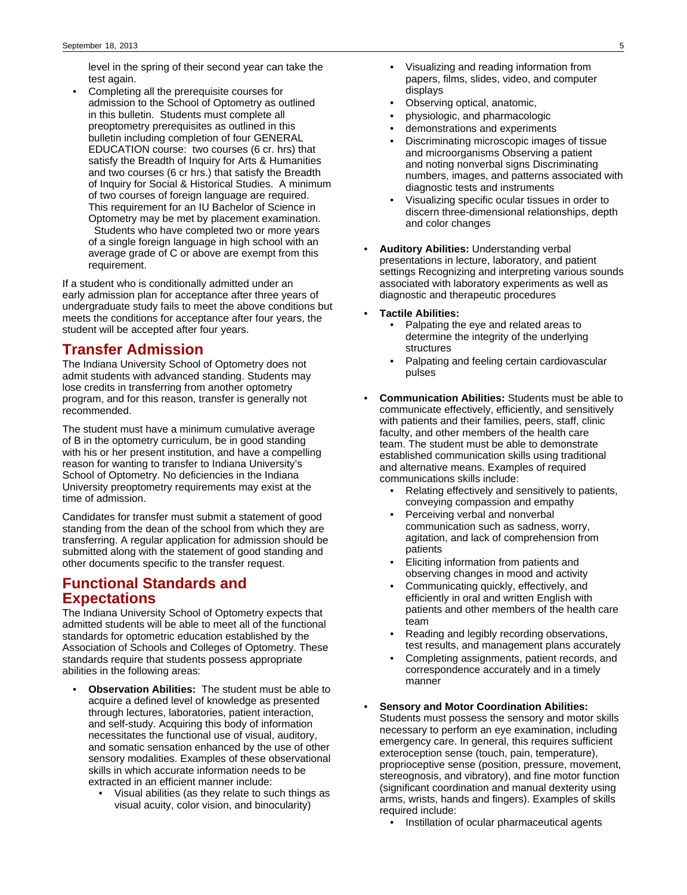level in the spring of their second year can take the test again.

• Completing all the prerequisite courses for admission to the School of Optometry as outlined in this bulletin. Students must complete all preoptometry prerequisites as outlined in this bulletin including completion of four GENERAL EDUCATION course: two courses (6 cr. hrs) that satisfy the Breadth of Inquiry for Arts & Humanities and two courses (6 cr hrs.) that satisfy the Breadth of Inquiry for Social & Historical Studies. A minimum of two courses of foreign language are required. This requirement for an IU Bachelor of Science in Optometry may be met by placement examination. Students who have completed two or more years of a single foreign language in high school with an average grade of C or above are exempt from this requirement.

If a student who is conditionally admitted under an early admission plan for acceptance after three years of undergraduate study fails to meet the above conditions but meets the conditions for acceptance after four years, the student will be accepted after four years.

# **Transfer Admission**

The Indiana University School of Optometry does not admit students with advanced standing. Students may lose credits in transferring from another optometry program, and for this reason, transfer is generally not recommended.

The student must have a minimum cumulative average of B in the optometry curriculum, be in good standing with his or her present institution, and have a compelling reason for wanting to transfer to Indiana University's School of Optometry. No deficiencies in the Indiana University preoptometry requirements may exist at the time of admission.

Candidates for transfer must submit a statement of good standing from the dean of the school from which they are transferring. A regular application for admission should be submitted along with the statement of good standing and other documents specific to the transfer request.

# **Functional Standards and Expectations**

The Indiana University School of Optometry expects that admitted students will be able to meet all of the functional standards for optometric education established by the Association of Schools and Colleges of Optometry. These standards require that students possess appropriate abilities in the following areas:

- **Observation Abilities:** The student must be able to acquire a defined level of knowledge as presented through lectures, laboratories, patient interaction, and self-study. Acquiring this body of information necessitates the functional use of visual, auditory, and somatic sensation enhanced by the use of other sensory modalities. Examples of these observational skills in which accurate information needs to be extracted in an efficient manner include:
	- Visual abilities (as they relate to such things as visual acuity, color vision, and binocularity)
- Visualizing and reading information from papers, films, slides, video, and computer displays
- Observing optical, anatomic,
- physiologic, and pharmacologic
- demonstrations and experiments
- Discriminating microscopic images of tissue and microorganisms Observing a patient and noting nonverbal signs Discriminating numbers, images, and patterns associated with diagnostic tests and instruments
- Visualizing specific ocular tissues in order to discern three-dimensional relationships, depth and color changes
- **Auditory Abilities:** Understanding verbal presentations in lecture, laboratory, and patient settings Recognizing and interpreting various sounds associated with laboratory experiments as well as diagnostic and therapeutic procedures
- **Tactile Abilities:**
	- Palpating the eye and related areas to determine the integrity of the underlying structures
	- Palpating and feeling certain cardiovascular pulses
- **Communication Abilities:** Students must be able to communicate effectively, efficiently, and sensitively with patients and their families, peers, staff, clinic faculty, and other members of the health care team. The student must be able to demonstrate established communication skills using traditional and alternative means. Examples of required communications skills include:
	- Relating effectively and sensitively to patients, conveying compassion and empathy
	- Perceiving verbal and nonverbal communication such as sadness, worry, agitation, and lack of comprehension from patients
	- Eliciting information from patients and observing changes in mood and activity
	- Communicating quickly, effectively, and efficiently in oral and written English with patients and other members of the health care team
	- Reading and legibly recording observations, test results, and management plans accurately
	- Completing assignments, patient records, and correspondence accurately and in a timely manner
	- **Sensory and Motor Coordination Abilities:** Students must possess the sensory and motor skills necessary to perform an eye examination, including emergency care. In general, this requires sufficient exteroception sense (touch, pain, temperature), proprioceptive sense (position, pressure, movement, stereognosis, and vibratory), and fine motor function (significant coordination and manual dexterity using arms, wrists, hands and fingers). Examples of skills required include:
		- Instillation of ocular pharmaceutical agents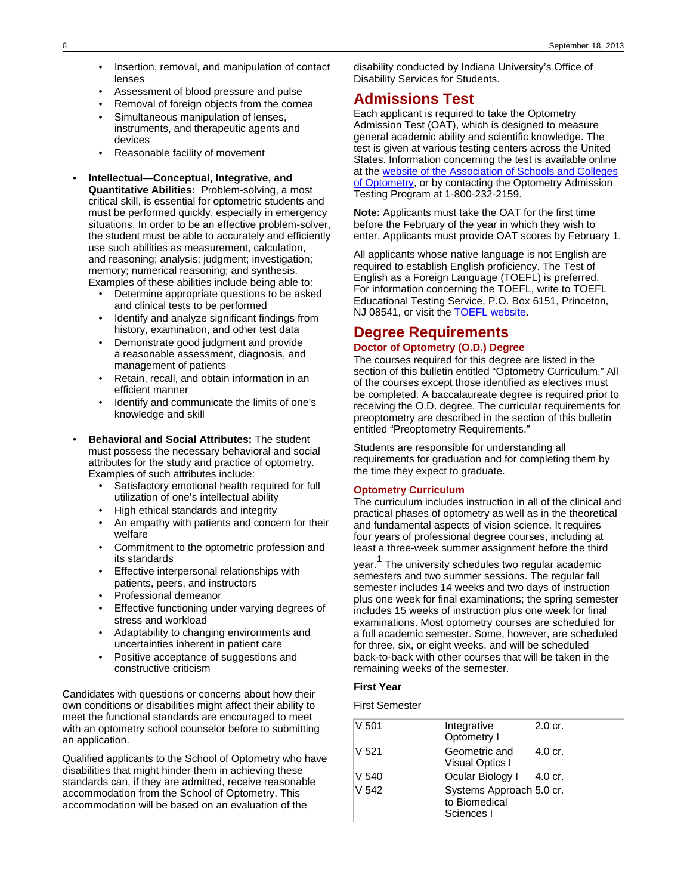- Insertion, removal, and manipulation of contact lenses
- Assessment of blood pressure and pulse
- Removal of foreign objects from the cornea
- Simultaneous manipulation of lenses. instruments, and therapeutic agents and devices
- Reasonable facility of movement
- **Intellectual—Conceptual, Integrative, and Quantitative Abilities:** Problem-solving, a most critical skill, is essential for optometric students and must be performed quickly, especially in emergency situations. In order to be an effective problem-solver, the student must be able to accurately and efficiently use such abilities as measurement, calculation, and reasoning; analysis; judgment; investigation; memory; numerical reasoning; and synthesis. Examples of these abilities include being able to:
	- Determine appropriate questions to be asked and clinical tests to be performed
	- Identify and analyze significant findings from history, examination, and other test data
	- Demonstrate good judgment and provide a reasonable assessment, diagnosis, and management of patients
	- Retain, recall, and obtain information in an efficient manner
	- Identify and communicate the limits of one's knowledge and skill
- **Behavioral and Social Attributes:** The student must possess the necessary behavioral and social attributes for the study and practice of optometry. Examples of such attributes include:
	- Satisfactory emotional health required for full utilization of one's intellectual ability
	- High ethical standards and integrity
	- An empathy with patients and concern for their welfare
	- Commitment to the optometric profession and its standards
	- Effective interpersonal relationships with patients, peers, and instructors
	- Professional demeanor
	- Effective functioning under varying degrees of stress and workload
	- Adaptability to changing environments and uncertainties inherent in patient care
	- Positive acceptance of suggestions and constructive criticism

Candidates with questions or concerns about how their own conditions or disabilities might affect their ability to meet the functional standards are encouraged to meet with an optometry school counselor before to submitting an application.

Qualified applicants to the School of Optometry who have disabilities that might hinder them in achieving these standards can, if they are admitted, receive reasonable accommodation from the School of Optometry. This accommodation will be based on an evaluation of the

disability conducted by Indiana University's Office of Disability Services for Students.

# **Admissions Test**

Each applicant is required to take the Optometry Admission Test (OAT), which is designed to measure general academic ability and scientific knowledge. The test is given at various testing centers across the United States. Information concerning the test is available online at the [website of the Association of Schools and Colleges](http://www.opted.org) [of Optometry](http://www.opted.org), or by contacting the Optometry Admission Testing Program at 1-800-232-2159.

**Note:** Applicants must take the OAT for the first time before the February of the year in which they wish to enter. Applicants must provide OAT scores by February 1.

All applicants whose native language is not English are required to establish English proficiency. The Test of English as a Foreign Language (TOEFL) is preferred. For information concerning the TOEFL, write to TOEFL Educational Testing Service, P.O. Box 6151, Princeton, NJ 08541, or visit the [TOEFL website](http://www.toefl.org).

# **Degree Requirements**

# **Doctor of Optometry (O.D.) Degree**

The courses required for this degree are listed in the section of this bulletin entitled "Optometry Curriculum." All of the courses except those identified as electives must be completed. A baccalaureate degree is required prior to receiving the O.D. degree. The curricular requirements for preoptometry are described in the section of this bulletin entitled "Preoptometry Requirements."

Students are responsible for understanding all requirements for graduation and for completing them by the time they expect to graduate.

## **Optometry Curriculum**

The curriculum includes instruction in all of the clinical and practical phases of optometry as well as in the theoretical and fundamental aspects of vision science. It requires four years of professional degree courses, including at least a three-week summer assignment before the third

year.<sup>1</sup> The university schedules two regular academic semesters and two summer sessions. The regular fall semester includes 14 weeks and two days of instruction plus one week for final examinations; the spring semester includes 15 weeks of instruction plus one week for final examinations. Most optometry courses are scheduled for a full academic semester. Some, however, are scheduled for three, six, or eight weeks, and will be scheduled back-to-back with other courses that will be taken in the remaining weeks of the semester.

#### **First Year**

First Semester

| V 501            | Integrative<br>Optometry I                              | $2.0 \text{ cr}$ . |
|------------------|---------------------------------------------------------|--------------------|
| V 521            | Geometric and<br>Visual Optics I                        | 4.0 cr.            |
| V <sub>540</sub> | Ocular Biology I                                        | 4.0 cr.            |
| V <sub>542</sub> | Systems Approach 5.0 cr.<br>to Biomedical<br>Sciences I |                    |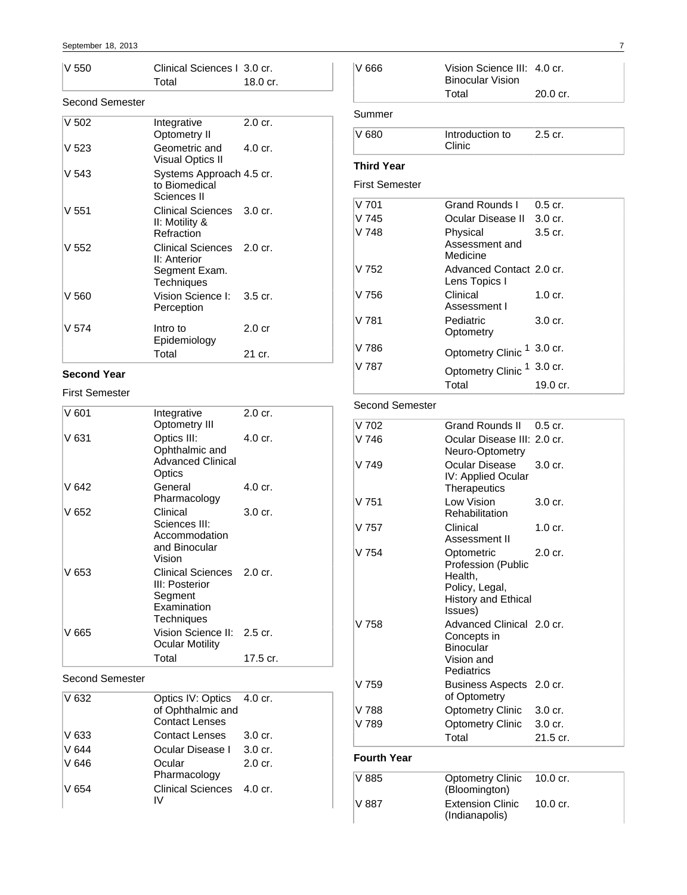# September 18, 2013

| V 550 | Clinical Sciences   3.0 cr. |          |
|-------|-----------------------------|----------|
|       | Total                       | 18.0 cr. |

# Second Semester

| V 502<br>$2.0$ cr.<br>Integrative<br>Optometry II<br>V 523<br>Geometric and 4.0 cr.<br>Visual Optics II<br>V <sub>543</sub><br>Systems Approach 4.5 cr.<br>to Biomedical<br>Sciences II<br>V 551<br>Clinical Sciences 3.0 cr.<br>II: Motility &<br>Refraction<br>V 552<br>Clinical Sciences 2.0 cr.<br>II: Anterior<br>Segment Exam.<br>Techniques<br>Vision Science I: 3.5 cr.<br>V 560<br>Perception<br>V 574<br>2.0 <sub>cr</sub><br>Intro to<br>Epidemiology<br>Total<br>21 cr. |  |  |
|-------------------------------------------------------------------------------------------------------------------------------------------------------------------------------------------------------------------------------------------------------------------------------------------------------------------------------------------------------------------------------------------------------------------------------------------------------------------------------------|--|--|
|                                                                                                                                                                                                                                                                                                                                                                                                                                                                                     |  |  |
|                                                                                                                                                                                                                                                                                                                                                                                                                                                                                     |  |  |
|                                                                                                                                                                                                                                                                                                                                                                                                                                                                                     |  |  |
|                                                                                                                                                                                                                                                                                                                                                                                                                                                                                     |  |  |
|                                                                                                                                                                                                                                                                                                                                                                                                                                                                                     |  |  |
|                                                                                                                                                                                                                                                                                                                                                                                                                                                                                     |  |  |
|                                                                                                                                                                                                                                                                                                                                                                                                                                                                                     |  |  |
|                                                                                                                                                                                                                                                                                                                                                                                                                                                                                     |  |  |

# **Second Year**

# First Semester

| $V$ 601 | Integrative<br>Optometry III                                                        | $2.0$ cr.          |
|---------|-------------------------------------------------------------------------------------|--------------------|
| V 631   | Optics III:<br>Ophthalmic and<br><b>Advanced Clinical</b><br>Optics                 | 4.0 cr.            |
| V 642   | General<br>Pharmacology                                                             | $4.0 \text{ cr}$ . |
| V 652   | Clinical<br>Sciences III:<br>Accommodation<br>and Binocular<br>Vision               | 3.0 <sub>cr.</sub> |
| V 653   | Clinical Sciences 2.0 cr.<br>III: Posterior<br>Segment<br>Examination<br>Techniques |                    |
| V 665   | Vision Science II: 2.5 cr.<br>Ocular Motility                                       |                    |
|         | Total                                                                               | 17.5 cr.           |

# Second Semester

| V 632 | Optics IV: Optics 4.0 cr.<br>of Ophthalmic and<br><b>Contact Lenses</b> |                    |
|-------|-------------------------------------------------------------------------|--------------------|
| V 633 | <b>Contact Lenses</b>                                                   | $3.0 \text{ cr}$ . |
| V 644 | Ocular Disease I                                                        | $3.0 \text{ cr}$ . |
| V 646 | Ocular<br>Pharmacology                                                  | $2.0 \text{ cr}$ . |
| V 654 | Clinical Sciences 4.0 cr.<br>I٧                                         |                    |

# V 666 Vision Science III: 4.0 cr. Binocular Vision Total 20.0 cr. Summer V 680 Introduction to

| $\overline{\vee}$ 680 | Introduction to<br>Clinic | $2.5$ cr. |  |
|-----------------------|---------------------------|-----------|--|
| <b>Third Year</b>     |                           |           |  |

# First Semester

| V <sub>701</sub> | Grand Rounds I                            | $0.5$ cr.          |
|------------------|-------------------------------------------|--------------------|
| V 745            | Ocular Disease II                         | $3.0 \text{ cr}$ . |
| V 748            | Physical<br>Assessment and<br>Medicine    | $3.5$ cr.          |
| V 752            | Advanced Contact 2.0 cr.<br>Lens Topics I |                    |
| V 756            | Clinical<br>Assessment I                  | $1.0 \text{ cr}$ . |
| V 781            | Pediatric<br>Optometry                    | $3.0 \text{ cr}$ . |
| V 786            | Optometry Clinic 1 3.0 cr.                |                    |
| V 787            | <b>Optometry Clinic</b>                   | 1 3.0 cr.          |
|                  | Total                                     | 19.0 cr.           |

# Second Semester

| <b>Fourth Year</b> |                                                                                          |                    |
|--------------------|------------------------------------------------------------------------------------------|--------------------|
|                    | Total                                                                                    | 21.5 cr.           |
| V 789              | Optometry Clinic 3.0 cr.                                                                 |                    |
| V 788              | Optometry Clinic 3.0 cr.                                                                 |                    |
| V 759              | Business Aspects 2.0 cr.<br>of Optometry                                                 |                    |
| V 758              | Advanced Clinical 2.0 cr.<br>Concepts in<br><b>Binocular</b><br>Vision and<br>Pediatrics |                    |
|                    | Health.<br>Policy, Legal,<br><b>History and Ethical</b><br>Issues)                       |                    |
| V 754              | Optometric<br>Profession (Public                                                         | $2.0$ cr.          |
| V 757              | Clinical<br>Assessment II                                                                | $1.0 \text{ cr}$ . |
| V 751              | Low Vision<br>Rehabilitation                                                             | $3.0 \text{ cr}$ . |
| V 749              | Ocular Disease<br>IV: Applied Ocular<br>Therapeutics                                     | $3.0 \text{ cr}$ . |
| $V$ 746            | Ocular Disease III: 2.0 cr.<br>Neuro-Optometry                                           |                    |
| V 702              | Grand Rounds II 0.5 cr.                                                                  |                    |

#### V 885 Optometry Clinic (Bloomington) 10.0 cr. V 887 Extension Clinic (Indianapolis) 10.0 cr.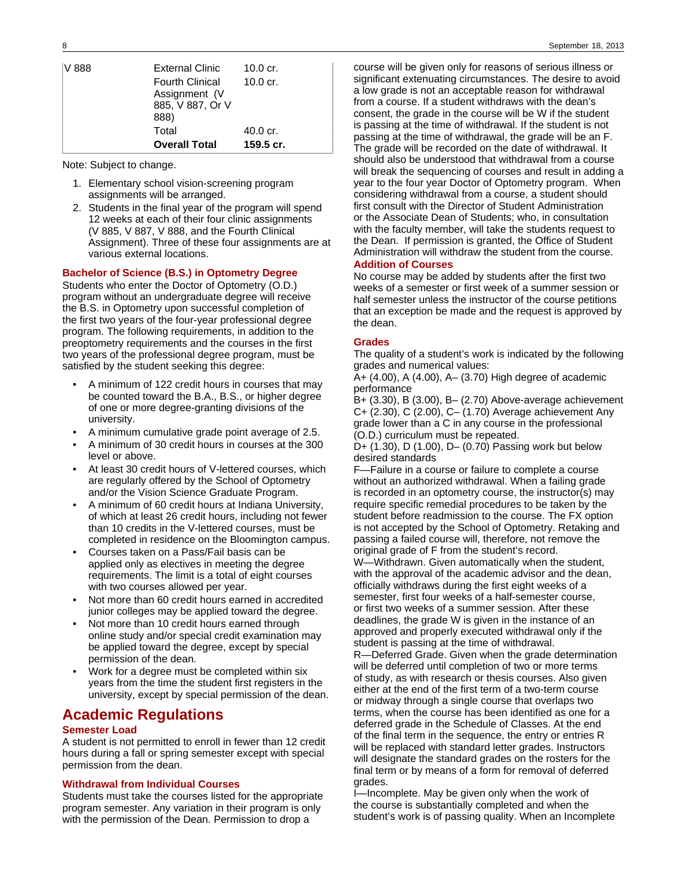| IV 888 | <b>External Clinic</b><br><b>Fourth Clinical</b><br>Assignment (V<br>885, V 887, Or V<br>888) | 10.0 $cr.$<br>$10.0 \text{ cr}.$ |
|--------|-----------------------------------------------------------------------------------------------|----------------------------------|
|        | Total                                                                                         | 40.0 cr.                         |
|        | <b>Overall Total</b>                                                                          | 159.5 cr.                        |

Note: Subject to change.

- 1. Elementary school vision-screening program assignments will be arranged.
- 2. Students in the final year of the program will spend 12 weeks at each of their four clinic assignments (V 885, V 887, V 888, and the Fourth Clinical Assignment). Three of these four assignments are at various external locations.

### **Bachelor of Science (B.S.) in Optometry Degree**

Students who enter the Doctor of Optometry (O.D.) program without an undergraduate degree will receive the B.S. in Optometry upon successful completion of the first two years of the four-year professional degree program. The following requirements, in addition to the preoptometry requirements and the courses in the first two years of the professional degree program, must be satisfied by the student seeking this degree:

- A minimum of 122 credit hours in courses that may be counted toward the B.A., B.S., or higher degree of one or more degree-granting divisions of the university.
- A minimum cumulative grade point average of 2.5.
- A minimum of 30 credit hours in courses at the 300 level or above.
- At least 30 credit hours of V-lettered courses, which are regularly offered by the School of Optometry and/or the Vision Science Graduate Program.
- A minimum of 60 credit hours at Indiana University, of which at least 26 credit hours, including not fewer than 10 credits in the V-lettered courses, must be completed in residence on the Bloomington campus.
- Courses taken on a Pass/Fail basis can be applied only as electives in meeting the degree requirements. The limit is a total of eight courses with two courses allowed per year.
- Not more than 60 credit hours earned in accredited junior colleges may be applied toward the degree.
- Not more than 10 credit hours earned through online study and/or special credit examination may be applied toward the degree, except by special permission of the dean.
- Work for a degree must be completed within six years from the time the student first registers in the university, except by special permission of the dean.

# **Academic Regulations**

## **Semester Load**

A student is not permitted to enroll in fewer than 12 credit hours during a fall or spring semester except with special permission from the dean.

#### **Withdrawal from Individual Courses**

Students must take the courses listed for the appropriate program semester. Any variation in their program is only with the permission of the Dean. Permission to drop a

course will be given only for reasons of serious illness or significant extenuating circumstances. The desire to avoid a low grade is not an acceptable reason for withdrawal from a course. If a student withdraws with the dean's consent, the grade in the course will be W if the student is passing at the time of withdrawal. If the student is not passing at the time of withdrawal, the grade will be an F. The grade will be recorded on the date of withdrawal. It should also be understood that withdrawal from a course will break the sequencing of courses and result in adding a year to the four year Doctor of Optometry program. When considering withdrawal from a course, a student should first consult with the Director of Student Administration or the Associate Dean of Students; who, in consultation with the faculty member, will take the students request to the Dean. If permission is granted, the Office of Student Administration will withdraw the student from the course.

### **Addition of Courses**

No course may be added by students after the first two weeks of a semester or first week of a summer session or half semester unless the instructor of the course petitions that an exception be made and the request is approved by the dean.

### **Grades**

The quality of a student's work is indicated by the following grades and numerical values:

A+ (4.00), A (4.00), A– (3.70) High degree of academic performance

B+ (3.30), B (3.00), B– (2.70) Above-average achievement C+ (2.30), C (2.00), C– (1.70) Average achievement Any grade lower than a C in any course in the professional (O.D.) curriculum must be repeated.

D+ (1.30), D (1.00), D– (0.70) Passing work but below desired standards

F—Failure in a course or failure to complete a course without an authorized withdrawal. When a failing grade is recorded in an optometry course, the instructor(s) may require specific remedial procedures to be taken by the student before readmission to the course. The FX option is not accepted by the School of Optometry. Retaking and passing a failed course will, therefore, not remove the original grade of F from the student's record. W—Withdrawn. Given automatically when the student, with the approval of the academic advisor and the dean, officially withdraws during the first eight weeks of a semester, first four weeks of a half-semester course, or first two weeks of a summer session. After these deadlines, the grade W is given in the instance of an approved and properly executed withdrawal only if the student is passing at the time of withdrawal. R—Deferred Grade. Given when the grade determination will be deferred until completion of two or more terms of study, as with research or thesis courses. Also given either at the end of the first term of a two-term course or midway through a single course that overlaps two terms, when the course has been identified as one for a deferred grade in the Schedule of Classes. At the end of the final term in the sequence, the entry or entries R will be replaced with standard letter grades. Instructors will designate the standard grades on the rosters for the final term or by means of a form for removal of deferred grades.

I—Incomplete. May be given only when the work of the course is substantially completed and when the student's work is of passing quality. When an Incomplete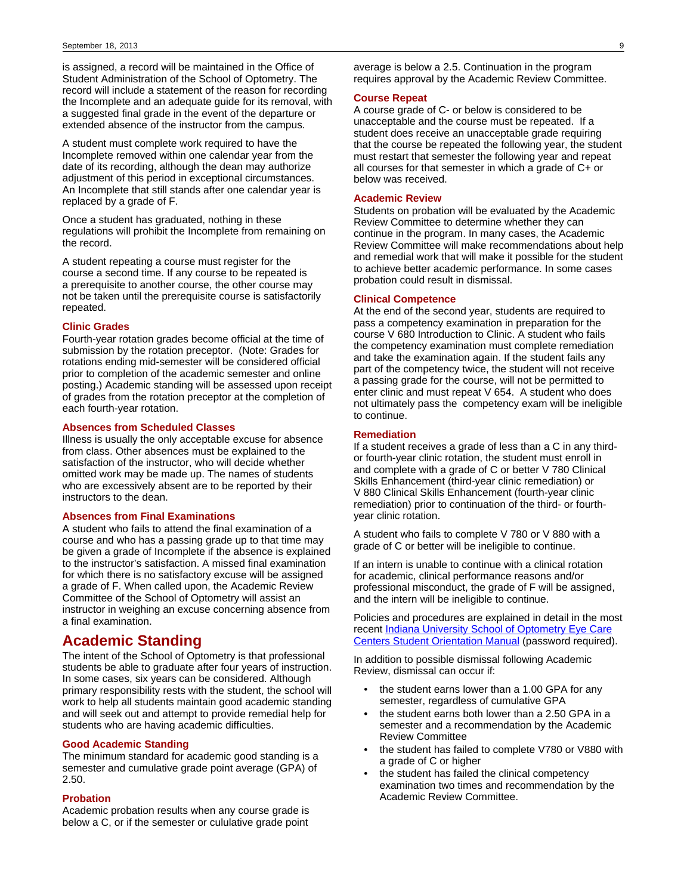is assigned, a record will be maintained in the Office of Student Administration of the School of Optometry. The record will include a statement of the reason for recording the Incomplete and an adequate guide for its removal, with a suggested final grade in the event of the departure or extended absence of the instructor from the campus.

A student must complete work required to have the Incomplete removed within one calendar year from the date of its recording, although the dean may authorize adjustment of this period in exceptional circumstances. An Incomplete that still stands after one calendar year is replaced by a grade of F.

Once a student has graduated, nothing in these regulations will prohibit the Incomplete from remaining on the record.

A student repeating a course must register for the course a second time. If any course to be repeated is a prerequisite to another course, the other course may not be taken until the prerequisite course is satisfactorily repeated.

#### **Clinic Grades**

Fourth-year rotation grades become official at the time of submission by the rotation preceptor. (Note: Grades for rotations ending mid-semester will be considered official prior to completion of the academic semester and online posting.) Academic standing will be assessed upon receipt of grades from the rotation preceptor at the completion of each fourth-year rotation.

#### **Absences from Scheduled Classes**

Illness is usually the only acceptable excuse for absence from class. Other absences must be explained to the satisfaction of the instructor, who will decide whether omitted work may be made up. The names of students who are excessively absent are to be reported by their instructors to the dean.

#### **Absences from Final Examinations**

A student who fails to attend the final examination of a course and who has a passing grade up to that time may be given a grade of Incomplete if the absence is explained to the instructor's satisfaction. A missed final examination for which there is no satisfactory excuse will be assigned a grade of F. When called upon, the Academic Review Committee of the School of Optometry will assist an instructor in weighing an excuse concerning absence from a final examination.

# **Academic Standing**

The intent of the School of Optometry is that professional students be able to graduate after four years of instruction. In some cases, six years can be considered. Although primary responsibility rests with the student, the school will work to help all students maintain good academic standing and will seek out and attempt to provide remedial help for students who are having academic difficulties.

#### **Good Academic Standing**

The minimum standard for academic good standing is a semester and cumulative grade point average (GPA) of 2.50.

### **Probation**

Academic probation results when any course grade is below a C, or if the semester or cululative grade point

average is below a 2.5. Continuation in the program requires approval by the Academic Review Committee.

#### **Course Repeat**

A course grade of C- or below is considered to be unacceptable and the course must be repeated. If a student does receive an unacceptable grade requiring that the course be repeated the following year, the student must restart that semester the following year and repeat all courses for that semester in which a grade of C+ or below was received.

#### **Academic Review**

Students on probation will be evaluated by the Academic Review Committee to determine whether they can continue in the program. In many cases, the Academic Review Committee will make recommendations about help and remedial work that will make it possible for the student to achieve better academic performance. In some cases probation could result in dismissal.

#### **Clinical Competence**

At the end of the second year, students are required to pass a competency examination in preparation for the course V 680 Introduction to Clinic. A student who fails the competency examination must complete remediation and take the examination again. If the student fails any part of the competency twice, the student will not receive a passing grade for the course, will not be permitted to enter clinic and must repeat V 654. A student who does not ultimately pass the competency exam will be ineligible to continue.

#### **Remediation**

If a student receives a grade of less than a C in any thirdor fourth-year clinic rotation, the student must enroll in and complete with a grade of C or better V 780 Clinical Skills Enhancement (third-year clinic remediation) or V 880 Clinical Skills Enhancement (fourth-year clinic remediation) prior to continuation of the third- or fourthyear clinic rotation.

A student who fails to complete V 780 or V 880 with a grade of C or better will be ineligible to continue.

If an intern is unable to continue with a clinical rotation for academic, clinical performance reasons and/or professional misconduct, the grade of F will be assigned, and the intern will be ineligible to continue.

Policies and procedures are explained in detail in the most recent [Indiana University School of Optometry Eye Care](http://www.opt.indiana.edu/intranet/Clinics/ClinicManual.aspx) [Centers Student Orientation Manual](http://www.opt.indiana.edu/intranet/Clinics/ClinicManual.aspx) (password required).

In addition to possible dismissal following Academic Review, dismissal can occur if:

- the student earns lower than a 1.00 GPA for any semester, regardless of cumulative GPA
- the student earns both lower than a 2.50 GPA in a semester and a recommendation by the Academic Review Committee
- the student has failed to complete V780 or V880 with a grade of C or higher
- the student has failed the clinical competency examination two times and recommendation by the Academic Review Committee.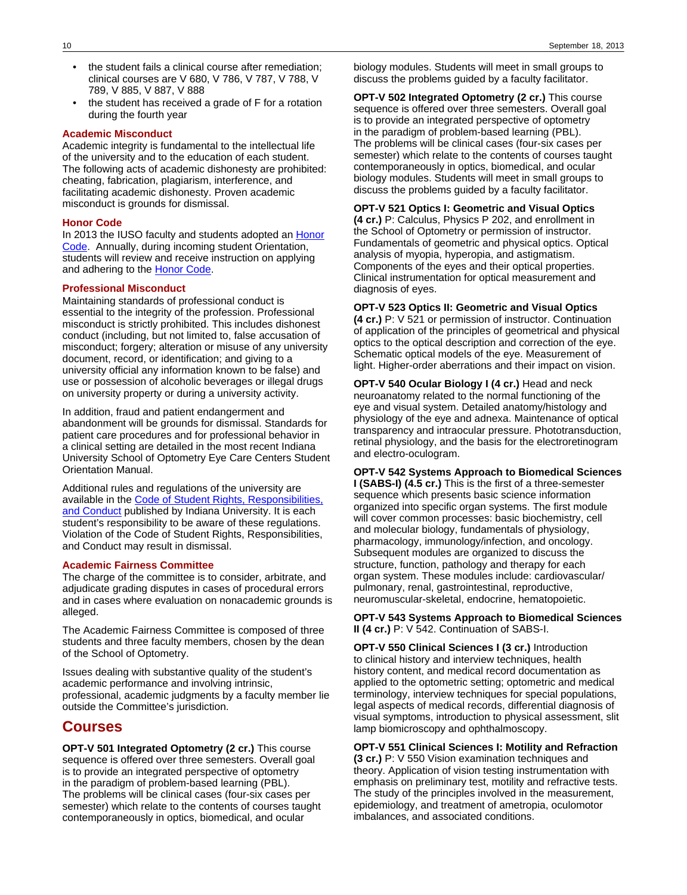- the student fails a clinical course after remediation; clinical courses are V 680, V 786, V 787, V 788, V 789, V 885, V 887, V 888
- the student has received a grade of F for a rotation during the fourth year

#### **Academic Misconduct**

Academic integrity is fundamental to the intellectual life of the university and to the education of each student. The following acts of academic dishonesty are prohibited: cheating, fabrication, plagiarism, interference, and facilitating academic dishonesty. Proven academic misconduct is grounds for dismissal.

#### **Honor Code**

In 2013 the IUSO faculty and students adopted an [Honor](http://www.opt.indiana.edu/intranet/Repository/HonorCodeFinalVersion.pdf) [Code.](http://www.opt.indiana.edu/intranet/Repository/HonorCodeFinalVersion.pdf) Annually, during incoming student Orientation, students will review and receive instruction on applying and adhering to the **Honor Code**.

#### **Professional Misconduct**

Maintaining standards of professional conduct is essential to the integrity of the profession. Professional misconduct is strictly prohibited. This includes dishonest conduct (including, but not limited to, false accusation of misconduct; forgery; alteration or misuse of any university document, record, or identification; and giving to a university official any information known to be false) and use or possession of alcoholic beverages or illegal drugs on university property or during a university activity.

In addition, fraud and patient endangerment and abandonment will be grounds for dismissal. Standards for patient care procedures and for professional behavior in a clinical setting are detailed in the most recent Indiana University School of Optometry Eye Care Centers Student Orientation Manual.

Additional rules and regulations of the university are available in the [Code of Student Rights, Responsibilities,](http://www.iu.edu/~code/) [and Conduct](http://www.iu.edu/~code/) published by Indiana University. It is each student's responsibility to be aware of these regulations. Violation of the Code of Student Rights, Responsibilities, and Conduct may result in dismissal.

#### **Academic Fairness Committee**

The charge of the committee is to consider, arbitrate, and adjudicate grading disputes in cases of procedural errors and in cases where evaluation on nonacademic grounds is alleged.

The Academic Fairness Committee is composed of three students and three faculty members, chosen by the dean of the School of Optometry.

Issues dealing with substantive quality of the student's academic performance and involving intrinsic, professional, academic judgments by a faculty member lie outside the Committee's jurisdiction.

# **Courses**

**OPT-V 501 Integrated Optometry (2 cr.)** This course sequence is offered over three semesters. Overall goal is to provide an integrated perspective of optometry in the paradigm of problem-based learning (PBL). The problems will be clinical cases (four-six cases per semester) which relate to the contents of courses taught contemporaneously in optics, biomedical, and ocular

biology modules. Students will meet in small groups to discuss the problems guided by a faculty facilitator.

**OPT-V 502 Integrated Optometry (2 cr.)** This course sequence is offered over three semesters. Overall goal is to provide an integrated perspective of optometry in the paradigm of problem-based learning (PBL). The problems will be clinical cases (four-six cases per semester) which relate to the contents of courses taught contemporaneously in optics, biomedical, and ocular biology modules. Students will meet in small groups to discuss the problems guided by a faculty facilitator.

#### **OPT-V 521 Optics I: Geometric and Visual Optics (4 cr.)** P: Calculus, Physics P 202, and enrollment in the School of Optometry or permission of instructor. Fundamentals of geometric and physical optics. Optical analysis of myopia, hyperopia, and astigmatism. Components of the eyes and their optical properties.

Clinical instrumentation for optical measurement and diagnosis of eyes.

### **OPT-V 523 Optics II: Geometric and Visual Optics**

**(4 cr.)** P: V 521 or permission of instructor. Continuation of application of the principles of geometrical and physical optics to the optical description and correction of the eye. Schematic optical models of the eye. Measurement of light. Higher-order aberrations and their impact on vision.

**OPT-V 540 Ocular Biology I (4 cr.)** Head and neck neuroanatomy related to the normal functioning of the eye and visual system. Detailed anatomy/histology and physiology of the eye and adnexa. Maintenance of optical transparency and intraocular pressure. Phototransduction, retinal physiology, and the basis for the electroretinogram and electro-oculogram.

**OPT-V 542 Systems Approach to Biomedical Sciences I (SABS-I) (4.5 cr.)** This is the first of a three-semester sequence which presents basic science information organized into specific organ systems. The first module will cover common processes: basic biochemistry, cell and molecular biology, fundamentals of physiology, pharmacology, immunology/infection, and oncology. Subsequent modules are organized to discuss the structure, function, pathology and therapy for each organ system. These modules include: cardiovascular/ pulmonary, renal, gastrointestinal, reproductive, neuromuscular-skeletal, endocrine, hematopoietic.

### **OPT-V 543 Systems Approach to Biomedical Sciences II (4 cr.)** P: V 542. Continuation of SABS-I.

**OPT-V 550 Clinical Sciences I (3 cr.)** Introduction to clinical history and interview techniques, health history content, and medical record documentation as applied to the optometric setting; optometric and medical terminology, interview techniques for special populations, legal aspects of medical records, differential diagnosis of visual symptoms, introduction to physical assessment, slit lamp biomicroscopy and ophthalmoscopy.

### **OPT-V 551 Clinical Sciences I: Motility and Refraction**

**(3 cr.)** P: V 550 Vision examination techniques and theory. Application of vision testing instrumentation with emphasis on preliminary test, motility and refractive tests. The study of the principles involved in the measurement, epidemiology, and treatment of ametropia, oculomotor imbalances, and associated conditions.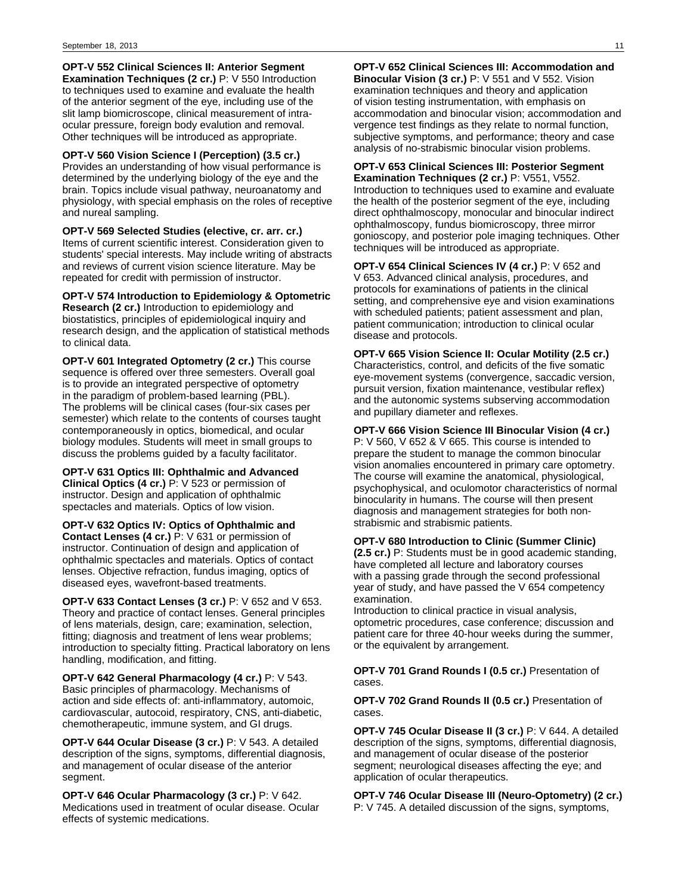**OPT-V 552 Clinical Sciences II: Anterior Segment Examination Techniques (2 cr.)** P: V 550 Introduction to techniques used to examine and evaluate the health of the anterior segment of the eye, including use of the slit lamp biomicroscope, clinical measurement of intraocular pressure, foreign body evalution and removal. Other techniques will be introduced as appropriate.

**OPT-V 560 Vision Science I (Perception) (3.5 cr.)** Provides an understanding of how visual performance is determined by the underlying biology of the eye and the brain. Topics include visual pathway, neuroanatomy and physiology, with special emphasis on the roles of receptive and nureal sampling.

**OPT-V 569 Selected Studies (elective, cr. arr. cr.)** Items of current scientific interest. Consideration given to students' special interests. May include writing of abstracts and reviews of current vision science literature. May be repeated for credit with permission of instructor.

**OPT-V 574 Introduction to Epidemiology & Optometric Research (2 cr.)** Introduction to epidemiology and biostatistics, principles of epidemiological inquiry and research design, and the application of statistical methods to clinical data.

**OPT-V 601 Integrated Optometry (2 cr.)** This course sequence is offered over three semesters. Overall goal is to provide an integrated perspective of optometry in the paradigm of problem-based learning (PBL). The problems will be clinical cases (four-six cases per semester) which relate to the contents of courses taught contemporaneously in optics, biomedical, and ocular biology modules. Students will meet in small groups to discuss the problems guided by a faculty facilitator.

**OPT-V 631 Optics III: Ophthalmic and Advanced Clinical Optics (4 cr.)** P: V 523 or permission of instructor. Design and application of ophthalmic spectacles and materials. Optics of low vision.

**OPT-V 632 Optics IV: Optics of Ophthalmic and Contact Lenses (4 cr.)** P: V 631 or permission of instructor. Continuation of design and application of ophthalmic spectacles and materials. Optics of contact lenses. Objective refraction, fundus imaging, optics of diseased eyes, wavefront-based treatments.

**OPT-V 633 Contact Lenses (3 cr.)** P: V 652 and V 653. Theory and practice of contact lenses. General principles of lens materials, design, care; examination, selection, fitting; diagnosis and treatment of lens wear problems; introduction to specialty fitting. Practical laboratory on lens handling, modification, and fitting.

**OPT-V 642 General Pharmacology (4 cr.)** P: V 543. Basic principles of pharmacology. Mechanisms of action and side effects of: anti-inflammatory, automoic, cardiovascular, autocoid, respiratory, CNS, anti-diabetic, chemotherapeutic, immune system, and GI drugs.

**OPT-V 644 Ocular Disease (3 cr.)** P: V 543. A detailed description of the signs, symptoms, differential diagnosis, and management of ocular disease of the anterior segment.

**OPT-V 646 Ocular Pharmacology (3 cr.)** P: V 642. Medications used in treatment of ocular disease. Ocular effects of systemic medications.

**OPT-V 652 Clinical Sciences III: Accommodation and Binocular Vision (3 cr.)** P: V 551 and V 552. Vision examination techniques and theory and application of vision testing instrumentation, with emphasis on accommodation and binocular vision; accommodation and vergence test findings as they relate to normal function, subjective symptoms, and performance; theory and case analysis of no-strabismic binocular vision problems.

**OPT-V 653 Clinical Sciences III: Posterior Segment Examination Techniques (2 cr.)** P: V551, V552. Introduction to techniques used to examine and evaluate the health of the posterior segment of the eye, including direct ophthalmoscopy, monocular and binocular indirect ophthalmoscopy, fundus biomicroscopy, three mirror gonioscopy, and posterior pole imaging techniques. Other techniques will be introduced as appropriate.

**OPT-V 654 Clinical Sciences IV (4 cr.)** P: V 652 and V 653. Advanced clinical analysis, procedures, and protocols for examinations of patients in the clinical setting, and comprehensive eye and vision examinations with scheduled patients; patient assessment and plan, patient communication; introduction to clinical ocular disease and protocols.

**OPT-V 665 Vision Science II: Ocular Motility (2.5 cr.)** Characteristics, control, and deficits of the five somatic eye-movement systems (convergence, saccadic version, pursuit version, fixation maintenance, vestibular reflex) and the autonomic systems subserving accommodation and pupillary diameter and reflexes.

**OPT-V 666 Vision Science III Binocular Vision (4 cr.)** P: V 560, V 652 & V 665. This course is intended to prepare the student to manage the common binocular vision anomalies encountered in primary care optometry. The course will examine the anatomical, physiological, psychophysical, and oculomotor characteristics of normal binocularity in humans. The course will then present diagnosis and management strategies for both nonstrabismic and strabismic patients.

**OPT-V 680 Introduction to Clinic (Summer Clinic) (2.5 cr.)** P: Students must be in good academic standing, have completed all lecture and laboratory courses with a passing grade through the second professional year of study, and have passed the V 654 competency examination.

Introduction to clinical practice in visual analysis, optometric procedures, case conference; discussion and patient care for three 40-hour weeks during the summer, or the equivalent by arrangement.

**OPT-V 701 Grand Rounds I (0.5 cr.)** Presentation of cases.

**OPT-V 702 Grand Rounds II (0.5 cr.)** Presentation of cases.

**OPT-V 745 Ocular Disease II (3 cr.)** P: V 644. A detailed description of the signs, symptoms, differential diagnosis, and management of ocular disease of the posterior segment; neurological diseases affecting the eye; and application of ocular therapeutics.

**OPT-V 746 Ocular Disease III (Neuro-Optometry) (2 cr.)** P: V 745. A detailed discussion of the signs, symptoms,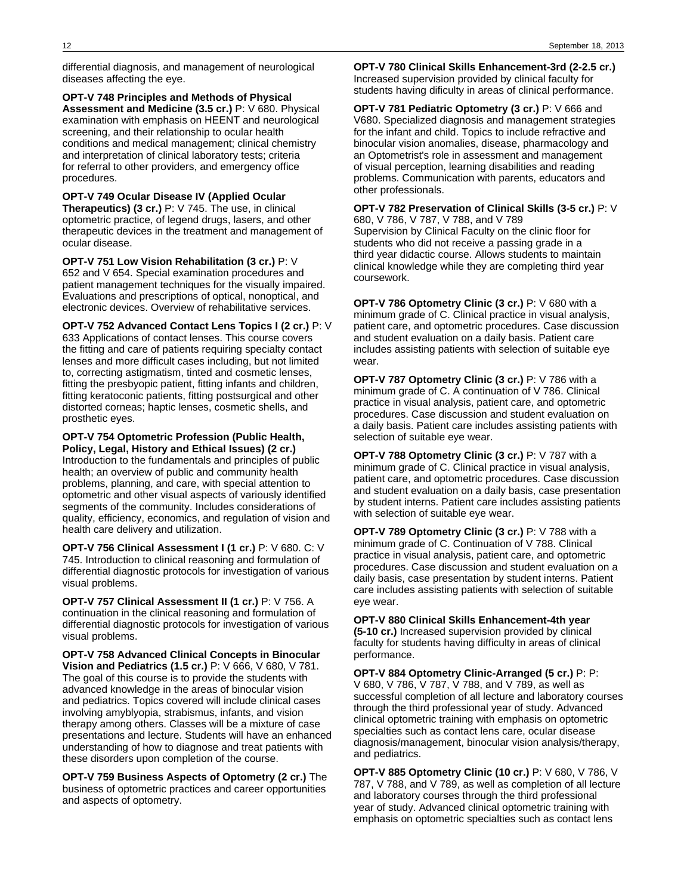differential diagnosis, and management of neurological diseases affecting the eye.

**OPT-V 748 Principles and Methods of Physical Assessment and Medicine (3.5 cr.)** P: V 680. Physical examination with emphasis on HEENT and neurological screening, and their relationship to ocular health conditions and medical management; clinical chemistry and interpretation of clinical laboratory tests; criteria for referral to other providers, and emergency office procedures.

**OPT-V 749 Ocular Disease IV (Applied Ocular Therapeutics) (3 cr.)** P: V 745. The use, in clinical optometric practice, of legend drugs, lasers, and other therapeutic devices in the treatment and management of ocular disease.

**OPT-V 751 Low Vision Rehabilitation (3 cr.)** P: V 652 and V 654. Special examination procedures and patient management techniques for the visually impaired. Evaluations and prescriptions of optical, nonoptical, and electronic devices. Overview of rehabilitative services.

**OPT-V 752 Advanced Contact Lens Topics I (2 cr.)** P: V 633 Applications of contact lenses. This course covers the fitting and care of patients requiring specialty contact lenses and more difficult cases including, but not limited to, correcting astigmatism, tinted and cosmetic lenses, fitting the presbyopic patient, fitting infants and children, fitting keratoconic patients, fitting postsurgical and other distorted corneas; haptic lenses, cosmetic shells, and prosthetic eyes.

**OPT-V 754 Optometric Profession (Public Health, Policy, Legal, History and Ethical Issues) (2 cr.)** Introduction to the fundamentals and principles of public health; an overview of public and community health problems, planning, and care, with special attention to optometric and other visual aspects of variously identified segments of the community. Includes considerations of quality, efficiency, economics, and regulation of vision and health care delivery and utilization.

**OPT-V 756 Clinical Assessment I (1 cr.)** P: V 680. C: V 745. Introduction to clinical reasoning and formulation of differential diagnostic protocols for investigation of various visual problems.

**OPT-V 757 Clinical Assessment II (1 cr.)** P: V 756. A continuation in the clinical reasoning and formulation of differential diagnostic protocols for investigation of various visual problems.

**OPT-V 758 Advanced Clinical Concepts in Binocular Vision and Pediatrics (1.5 cr.)** P: V 666, V 680, V 781. The goal of this course is to provide the students with advanced knowledge in the areas of binocular vision and pediatrics. Topics covered will include clinical cases involving amyblyopia, strabismus, infants, and vision therapy among others. Classes will be a mixture of case presentations and lecture. Students will have an enhanced understanding of how to diagnose and treat patients with these disorders upon completion of the course.

**OPT-V 759 Business Aspects of Optometry (2 cr.)** The business of optometric practices and career opportunities and aspects of optometry.

**OPT-V 780 Clinical Skills Enhancement-3rd (2-2.5 cr.)** Increased supervision provided by clinical faculty for students having dificulty in areas of clinical performance.

**OPT-V 781 Pediatric Optometry (3 cr.)** P: V 666 and V680. Specialized diagnosis and management strategies for the infant and child. Topics to include refractive and binocular vision anomalies, disease, pharmacology and an Optometrist's role in assessment and management of visual perception, learning disabilities and reading problems. Communication with parents, educators and other professionals.

**OPT-V 782 Preservation of Clinical Skills (3-5 cr.)** P: V 680, V 786, V 787, V 788, and V 789 Supervision by Clinical Faculty on the clinic floor for students who did not receive a passing grade in a third year didactic course. Allows students to maintain clinical knowledge while they are completing third year coursework.

**OPT-V 786 Optometry Clinic (3 cr.)** P: V 680 with a minimum grade of C. Clinical practice in visual analysis, patient care, and optometric procedures. Case discussion and student evaluation on a daily basis. Patient care includes assisting patients with selection of suitable eye wear.

**OPT-V 787 Optometry Clinic (3 cr.)** P: V 786 with a minimum grade of C. A continuation of V 786. Clinical practice in visual analysis, patient care, and optometric procedures. Case discussion and student evaluation on a daily basis. Patient care includes assisting patients with selection of suitable eye wear.

**OPT-V 788 Optometry Clinic (3 cr.)** P: V 787 with a minimum grade of C. Clinical practice in visual analysis, patient care, and optometric procedures. Case discussion and student evaluation on a daily basis, case presentation by student interns. Patient care includes assisting patients with selection of suitable eye wear.

**OPT-V 789 Optometry Clinic (3 cr.)** P: V 788 with a minimum grade of C. Continuation of V 788. Clinical practice in visual analysis, patient care, and optometric procedures. Case discussion and student evaluation on a daily basis, case presentation by student interns. Patient care includes assisting patients with selection of suitable eye wear.

**OPT-V 880 Clinical Skills Enhancement-4th year (5-10 cr.)** Increased supervision provided by clinical faculty for students having difficulty in areas of clinical performance.

**OPT-V 884 Optometry Clinic-Arranged (5 cr.)** P: P: V 680, V 786, V 787, V 788, and V 789, as well as successful completion of all lecture and laboratory courses through the third professional year of study. Advanced clinical optometric training with emphasis on optometric specialties such as contact lens care, ocular disease diagnosis/management, binocular vision analysis/therapy, and pediatrics.

**OPT-V 885 Optometry Clinic (10 cr.)** P: V 680, V 786, V 787, V 788, and V 789, as well as completion of all lecture and laboratory courses through the third professional year of study. Advanced clinical optometric training with emphasis on optometric specialties such as contact lens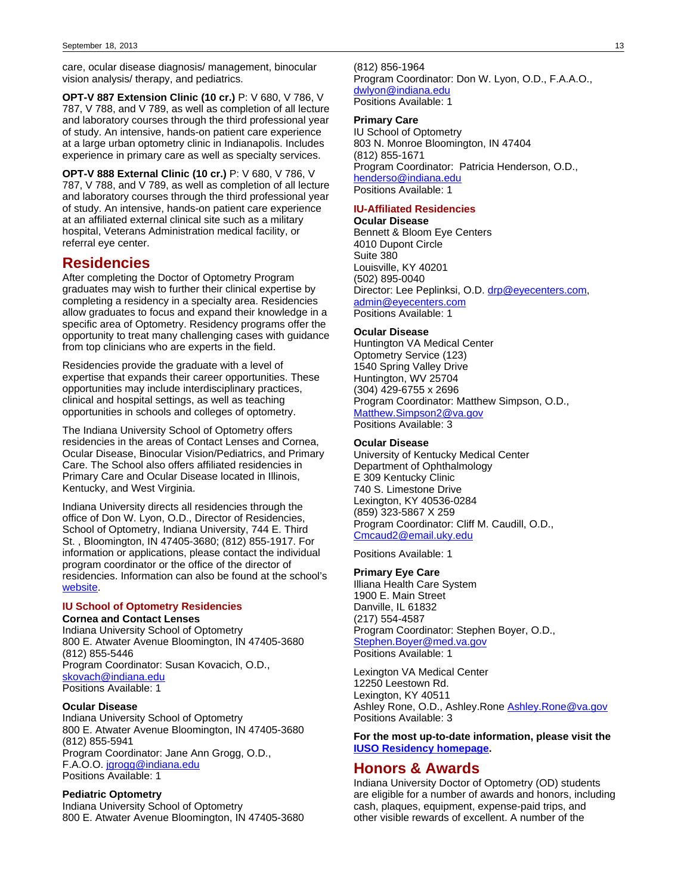care, ocular disease diagnosis/ management, binocular vision analysis/ therapy, and pediatrics.

**OPT-V 887 Extension Clinic (10 cr.)** P: V 680, V 786, V 787, V 788, and V 789, as well as completion of all lecture and laboratory courses through the third professional year of study. An intensive, hands-on patient care experience at a large urban optometry clinic in Indianapolis. Includes experience in primary care as well as specialty services.

**OPT-V 888 External Clinic (10 cr.)** P: V 680, V 786, V 787, V 788, and V 789, as well as completion of all lecture and laboratory courses through the third professional year of study. An intensive, hands-on patient care experience at an affiliated external clinical site such as a military hospital, Veterans Administration medical facility, or referral eye center.

# **Residencies**

After completing the Doctor of Optometry Program graduates may wish to further their clinical expertise by completing a residency in a specialty area. Residencies allow graduates to focus and expand their knowledge in a specific area of Optometry. Residency programs offer the opportunity to treat many challenging cases with guidance from top clinicians who are experts in the field.

Residencies provide the graduate with a level of expertise that expands their career opportunities. These opportunities may include interdisciplinary practices, clinical and hospital settings, as well as teaching opportunities in schools and colleges of optometry.

The Indiana University School of Optometry offers residencies in the areas of Contact Lenses and Cornea, Ocular Disease, Binocular Vision/Pediatrics, and Primary Care. The School also offers affiliated residencies in Primary Care and Ocular Disease located in Illinois, Kentucky, and West Virginia.

Indiana University directs all residencies through the office of Don W. Lyon, O.D., Director of Residencies, School of Optometry, Indiana University, 744 E. Third St. , Bloomington, IN 47405-3680; (812) 855-1917. For information or applications, please contact the individual program coordinator or the office of the director of residencies. Information can also be found at the school's [website.](http://www.optometry.iu.edu/academics/residencies/index.shtml)

# **IU School of Optometry Residencies**

**Cornea and Contact Lenses**

Indiana University School of Optometry 800 E. Atwater Avenue Bloomington, IN 47405-3680 (812) 855-5446 Program Coordinator: Susan Kovacich, O.D., [skovach@indiana.edu](mailto:skovach@indiana.edu) Positions Available: 1

#### **Ocular Disease**

Indiana University School of Optometry 800 E. Atwater Avenue Bloomington, IN 47405-3680 (812) 855-5941 Program Coordinator: Jane Ann Grogg, O.D., F.A.O.O. [jgrogg@indiana.edu](mailto:jgrogg@indiana.edu) Positions Available: 1

### **Pediatric Optometry**

Indiana University School of Optometry 800 E. Atwater Avenue Bloomington, IN 47405-3680 (812) 856-1964 Program Coordinator: Don W. Lyon, O.D., F.A.A.O., [dwlyon@indiana.edu](mailto:dwlyon@indiana.edu) Positions Available: 1

#### **Primary Care**

IU School of Optometry 803 N. Monroe Bloomington, IN 47404 (812) 855-1671 Program Coordinator: Patricia Henderson, O.D., [henderso@indiana.edu](mailto:henderso@indiana.edu) Positions Available: 1

# **IU-Affiliated Residencies**

**Ocular Disease** Bennett & Bloom Eye Centers 4010 Dupont Circle Suite 380 Louisville, KY 40201 (502) 895-0040 Director: Lee Peplinksi, O.D. [drp@eyecenters.com,](mailto:drp@eyecenters.com) [admin@eyecenters.com](mailto:admin@eyecenters.com) Positions Available: 1

### **Ocular Disease**

Huntington VA Medical Center Optometry Service (123) 1540 Spring Valley Drive Huntington, WV 25704 (304) 429-6755 x 2696 Program Coordinator: Matthew Simpson, O.D., [Matthew.Simpson2@va.gov](mailto:Matthew.Simpson2@va.gov) Positions Available: 3

#### **Ocular Disease**

University of Kentucky Medical Center Department of Ophthalmology E 309 Kentucky Clinic 740 S. Limestone Drive Lexington, KY 40536-0284 (859) 323-5867 X 259 Program Coordinator: Cliff M. Caudill, O.D., [Cmcaud2@email.uky.edu](mailto:Cmcaud2@email.uky.edu)

Positions Available: 1

#### **Primary Eye Care**

Illiana Health Care System 1900 E. Main Street Danville, IL 61832 (217) 554-4587 Program Coordinator: Stephen Boyer, O.D., [Stephen.Boyer@med.va.gov](mailto:Stephen.Boyer@med.va.gov) Positions Available: 1

Lexington VA Medical Center 12250 Leestown Rd. Lexington, KY 40511 Ashley Rone, O.D., Ashley.Rone [Ashley.Rone@va.gov](mailto:Ashley.Rone@va.gov) Positions Available: 3

**For the most up-to-date information, please visit the [IUSO Residency homepage](http://www.optometry.iu.edu/academics/residencies/index.shtml).**

# **Honors & Awards**

Indiana University Doctor of Optometry (OD) students are eligible for a number of awards and honors, including cash, plaques, equipment, expense-paid trips, and other visible rewards of excellent. A number of the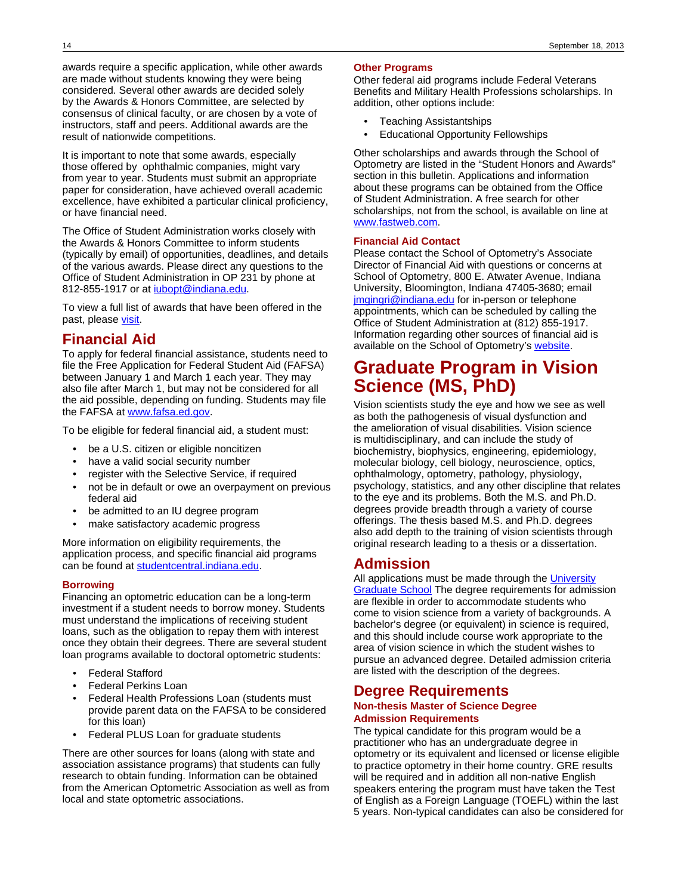awards require a specific application, while other awards are made without students knowing they were being considered. Several other awards are decided solely by the Awards & Honors Committee, are selected by consensus of clinical faculty, or are chosen by a vote of instructors, staff and peers. Additional awards are the result of nationwide competitions.

It is important to note that some awards, especially those offered by ophthalmic companies, might vary from year to year. Students must submit an appropriate paper for consideration, have achieved overall academic excellence, have exhibited a particular clinical proficiency, or have financial need.

The Office of Student Administration works closely with the Awards & Honors Committee to inform students (typically by email) of opportunities, deadlines, and details of the various awards. Please direct any questions to the Office of Student Administration in OP 231 by phone at 812-855-1917 or at [iubopt@indiana.edu](mailto:iubopt@indiana.edu).

To view a full list of awards that have been offered in the past, please [visit.](http://www.optometry.iu.edu/doc/optometry-awards.pdf)

# **Financial Aid**

To apply for federal financial assistance, students need to file the Free Application for Federal Student Aid (FAFSA) between January 1 and March 1 each year. They may also file after March 1, but may not be considered for all the aid possible, depending on funding. Students may file the FAFSA at [www.fafsa.ed.gov.](http://www.fafsa.ed.gov)

To be eligible for federal financial aid, a student must:

- be a U.S. citizen or eligible noncitizen
- have a valid social security number
- register with the Selective Service, if required
- not be in default or owe an overpayment on previous federal aid
- be admitted to an IU degree program
- make satisfactory academic progress

More information on eligibility requirements, the application process, and specific financial aid programs can be found at [studentcentral.indiana.edu](http://studentcentral.indiana.edu/).

#### **Borrowing**

Financing an optometric education can be a long-term investment if a student needs to borrow money. Students must understand the implications of receiving student loans, such as the obligation to repay them with interest once they obtain their degrees. There are several student loan programs available to doctoral optometric students:

- **Federal Stafford**
- Federal Perkins Loan
- Federal Health Professions Loan (students must provide parent data on the FAFSA to be considered for this loan)
- Federal PLUS Loan for graduate students

There are other sources for loans (along with state and association assistance programs) that students can fully research to obtain funding. Information can be obtained from the American Optometric Association as well as from local and state optometric associations.

#### **Other Programs**

Other federal aid programs include Federal Veterans Benefits and Military Health Professions scholarships. In addition, other options include:

- Teaching Assistantships
- Educational Opportunity Fellowships

Other scholarships and awards through the School of Optometry are listed in the "Student Honors and Awards" section in this bulletin. Applications and information about these programs can be obtained from the Office of Student Administration. A free search for other scholarships, not from the school, is available on line at [www.fastweb.com.](http://www.fastweb.com)

#### **Financial Aid Contact**

Please contact the School of Optometry's Associate Director of Financial Aid with questions or concerns at School of Optometry, 800 E. Atwater Avenue, Indiana University, Bloomington, Indiana 47405-3680; email [jmgingri@indiana.edu](mailto:jmgingri@indiana.edu) for in-person or telephone appointments, which can be scheduled by calling the Office of Student Administration at (812) 855-1917. Information regarding other sources of financial aid is available on the School of Optometry's [website](http://www.optometry.iu.edu/admissions/financial-aid-scholarships/index.shtml).

# **Graduate Program in Vision Science (MS, PhD)**

Vision scientists study the eye and how we see as well as both the pathogenesis of visual dysfunction and the amelioration of visual disabilities. Vision science is multidisciplinary, and can include the study of biochemistry, biophysics, engineering, epidemiology, molecular biology, cell biology, neuroscience, optics, ophthalmology, optometry, pathology, physiology, psychology, statistics, and any other discipline that relates to the eye and its problems. Both the M.S. and Ph.D. degrees provide breadth through a variety of course offerings. The thesis based M.S. and Ph.D. degrees also add depth to the training of vision scientists through original research leading to a thesis or a dissertation.

# **Admission**

All applications must be made through the [University](http://graduate.indiana.edu/admissions/index.shtml) [Graduate School](http://graduate.indiana.edu/admissions/index.shtml) The degree requirements for admission are flexible in order to accommodate students who come to vision science from a variety of backgrounds. A bachelor's degree (or equivalent) in science is required, and this should include course work appropriate to the area of vision science in which the student wishes to pursue an advanced degree. Detailed admission criteria are listed with the description of the degrees.

# **Degree Requirements**

### **Non-thesis Master of Science Degree Admission Requirements**

The typical candidate for this program would be a practitioner who has an undergraduate degree in optometry or its equivalent and licensed or license eligible to practice optometry in their home country. GRE results will be required and in addition all non-native English speakers entering the program must have taken the Test of English as a Foreign Language (TOEFL) within the last 5 years. Non-typical candidates can also be considered for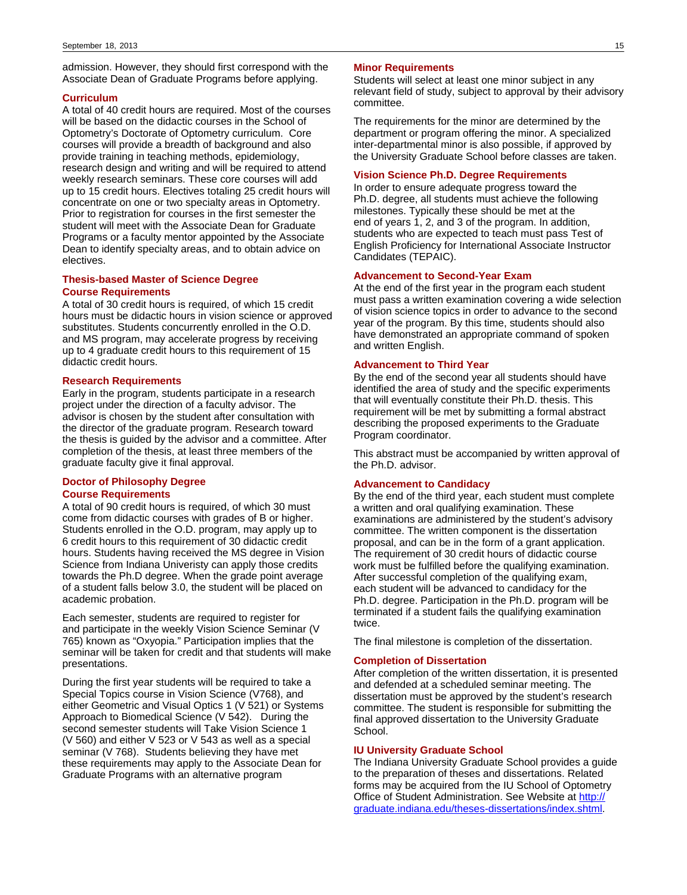admission. However, they should first correspond with the Associate Dean of Graduate Programs before applying.

#### **Curriculum**

A total of 40 credit hours are required. Most of the courses will be based on the didactic courses in the School of Optometry's Doctorate of Optometry curriculum. Core courses will provide a breadth of background and also provide training in teaching methods, epidemiology, research design and writing and will be required to attend weekly research seminars. These core courses will add up to 15 credit hours. Electives totaling 25 credit hours will concentrate on one or two specialty areas in Optometry. Prior to registration for courses in the first semester the student will meet with the Associate Dean for Graduate Programs or a faculty mentor appointed by the Associate Dean to identify specialty areas, and to obtain advice on electives.

## **Thesis-based Master of Science Degree Course Requirements**

A total of 30 credit hours is required, of which 15 credit hours must be didactic hours in vision science or approved substitutes. Students concurrently enrolled in the O.D. and MS program, may accelerate progress by receiving up to 4 graduate credit hours to this requirement of 15 didactic credit hours.

#### **Research Requirements**

Early in the program, students participate in a research project under the direction of a faculty advisor. The advisor is chosen by the student after consultation with the director of the graduate program. Research toward the thesis is guided by the advisor and a committee. After completion of the thesis, at least three members of the graduate faculty give it final approval.

### **Doctor of Philosophy Degree Course Requirements**

A total of 90 credit hours is required, of which 30 must come from didactic courses with grades of B or higher. Students enrolled in the O.D. program, may apply up to 6 credit hours to this requirement of 30 didactic credit hours. Students having received the MS degree in Vision Science from Indiana Univeristy can apply those credits towards the Ph.D degree. When the grade point average of a student falls below 3.0, the student will be placed on academic probation.

Each semester, students are required to register for and participate in the weekly Vision Science Seminar (V 765) known as "Oxyopia." Participation implies that the seminar will be taken for credit and that students will make presentations.

During the first year students will be required to take a Special Topics course in Vision Science (V768), and either Geometric and Visual Optics 1 (V 521) or Systems Approach to Biomedical Science (V 542). During the second semester students will Take Vision Science 1 (V 560) and either V 523 or V 543 as well as a special seminar (V 768). Students believing they have met these requirements may apply to the Associate Dean for Graduate Programs with an alternative program

#### **Minor Requirements**

Students will select at least one minor subject in any relevant field of study, subject to approval by their advisory committee.

The requirements for the minor are determined by the department or program offering the minor. A specialized inter-departmental minor is also possible, if approved by the University Graduate School before classes are taken.

#### **Vision Science Ph.D. Degree Requirements**

In order to ensure adequate progress toward the Ph.D. degree, all students must achieve the following milestones. Typically these should be met at the end of years 1, 2, and 3 of the program. In addition, students who are expected to teach must pass Test of English Proficiency for International Associate Instructor Candidates (TEPAIC).

#### **Advancement to Second-Year Exam**

At the end of the first year in the program each student must pass a written examination covering a wide selection of vision science topics in order to advance to the second year of the program. By this time, students should also have demonstrated an appropriate command of spoken and written English.

#### **Advancement to Third Year**

By the end of the second year all students should have identified the area of study and the specific experiments that will eventually constitute their Ph.D. thesis. This requirement will be met by submitting a formal abstract describing the proposed experiments to the Graduate Program coordinator.

This abstract must be accompanied by written approval of the Ph.D. advisor.

#### **Advancement to Candidacy**

By the end of the third year, each student must complete a written and oral qualifying examination. These examinations are administered by the student's advisory committee. The written component is the dissertation proposal, and can be in the form of a grant application. The requirement of 30 credit hours of didactic course work must be fulfilled before the qualifying examination. After successful completion of the qualifying exam, each student will be advanced to candidacy for the Ph.D. degree. Participation in the Ph.D. program will be terminated if a student fails the qualifying examination twice.

The final milestone is completion of the dissertation.

#### **Completion of Dissertation**

After completion of the written dissertation, it is presented and defended at a scheduled seminar meeting. The dissertation must be approved by the student's research committee. The student is responsible for submitting the final approved dissertation to the University Graduate School.

#### **IU University Graduate School**

The Indiana University Graduate School provides a guide to the preparation of theses and dissertations. Related forms may be acquired from the IU School of Optometry Office of Student Administration. See Website at [http://](http://graduate.indiana.edu/theses-dissertations/index.shtml) [graduate.indiana.edu/theses-dissertations/index.shtml](http://graduate.indiana.edu/theses-dissertations/index.shtml).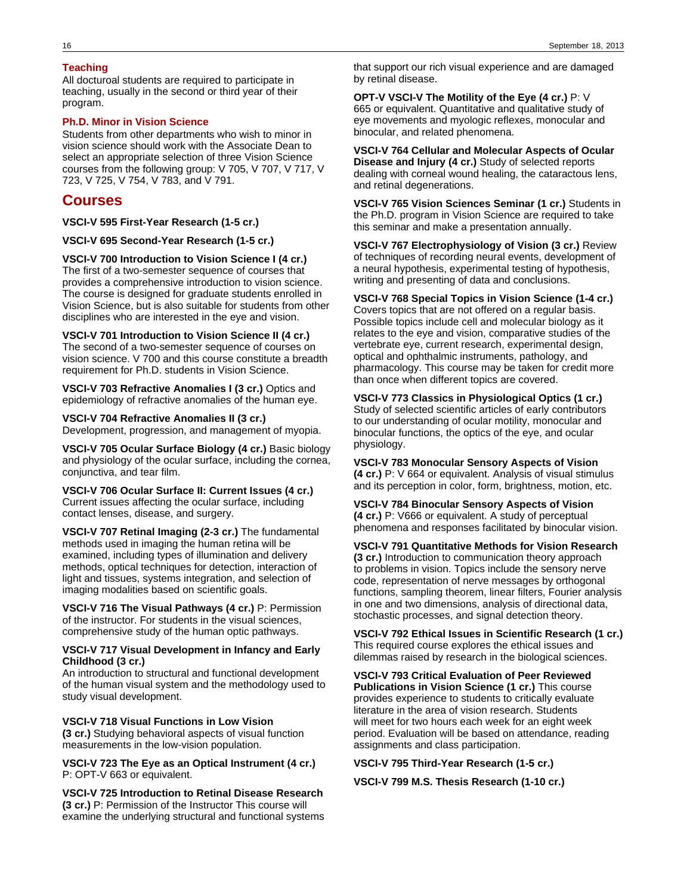## **Teaching**

All docturoal students are required to participate in teaching, usually in the second or third year of their program.

### **Ph.D. Minor in Vision Science**

Students from other departments who wish to minor in vision science should work with the Associate Dean to select an appropriate selection of three Vision Science courses from the following group: V 705, V 707, V 717, V 723, V 725, V 754, V 783, and V 791.

# **Courses**

**VSCI-V 595 First-Year Research (1-5 cr.)**

### **VSCI-V 695 Second-Year Research (1-5 cr.)**

**VSCI-V 700 Introduction to Vision Science I (4 cr.)** The first of a two-semester sequence of courses that provides a comprehensive introduction to vision science. The course is designed for graduate students enrolled in Vision Science, but is also suitable for students from other disciplines who are interested in the eye and vision.

**VSCI-V 701 Introduction to Vision Science II (4 cr.)** The second of a two-semester sequence of courses on vision science. V 700 and this course constitute a breadth requirement for Ph.D. students in Vision Science.

**VSCI-V 703 Refractive Anomalies I (3 cr.)** Optics and epidemiology of refractive anomalies of the human eye.

**VSCI-V 704 Refractive Anomalies II (3 cr.)** Development, progression, and management of myopia.

**VSCI-V 705 Ocular Surface Biology (4 cr.)** Basic biology and physiology of the ocular surface, including the cornea, conjunctiva, and tear film.

**VSCI-V 706 Ocular Surface II: Current Issues (4 cr.)** Current issues affecting the ocular surface, including contact lenses, disease, and surgery.

**VSCI-V 707 Retinal Imaging (2-3 cr.)** The fundamental methods used in imaging the human retina will be examined, including types of illumination and delivery methods, optical techniques for detection, interaction of light and tissues, systems integration, and selection of imaging modalities based on scientific goals.

**VSCI-V 716 The Visual Pathways (4 cr.)** P: Permission of the instructor. For students in the visual sciences, comprehensive study of the human optic pathways.

#### **VSCI-V 717 Visual Development in Infancy and Early Childhood (3 cr.)**

An introduction to structural and functional development of the human visual system and the methodology used to study visual development.

## **VSCI-V 718 Visual Functions in Low Vision**

**(3 cr.)** Studying behavioral aspects of visual function measurements in the low-vision population.

**VSCI-V 723 The Eye as an Optical Instrument (4 cr.)** P: OPT-V 663 or equivalent.

**VSCI-V 725 Introduction to Retinal Disease Research (3 cr.)** P: Permission of the Instructor This course will examine the underlying structural and functional systems

that support our rich visual experience and are damaged by retinal disease.

**OPT-V VSCI-V The Motility of the Eye (4 cr.)** P: V 665 or equivalent. Quantitative and qualitative study of eye movements and myologic reflexes, monocular and binocular, and related phenomena.

**VSCI-V 764 Cellular and Molecular Aspects of Ocular Disease and Injury (4 cr.)** Study of selected reports dealing with corneal wound healing, the cataractous lens, and retinal degenerations.

**VSCI-V 765 Vision Sciences Seminar (1 cr.)** Students in the Ph.D. program in Vision Science are required to take this seminar and make a presentation annually.

**VSCI-V 767 Electrophysiology of Vision (3 cr.)** Review of techniques of recording neural events, development of a neural hypothesis, experimental testing of hypothesis, writing and presenting of data and conclusions.

**VSCI-V 768 Special Topics in Vision Science (1-4 cr.)** Covers topics that are not offered on a regular basis. Possible topics include cell and molecular biology as it relates to the eye and vision, comparative studies of the vertebrate eye, current research, experimental design, optical and ophthalmic instruments, pathology, and pharmacology. This course may be taken for credit more than once when different topics are covered.

**VSCI-V 773 Classics in Physiological Optics (1 cr.)** Study of selected scientific articles of early contributors to our understanding of ocular motility, monocular and binocular functions, the optics of the eye, and ocular physiology.

**VSCI-V 783 Monocular Sensory Aspects of Vision (4 cr.)** P: V 664 or equivalent. Analysis of visual stimulus and its perception in color, form, brightness, motion, etc.

**VSCI-V 784 Binocular Sensory Aspects of Vision (4 cr.)** P: V666 or equivalent. A study of perceptual phenomena and responses facilitated by binocular vision.

**VSCI-V 791 Quantitative Methods for Vision Research (3 cr.)** Introduction to communication theory approach to problems in vision. Topics include the sensory nerve code, representation of nerve messages by orthogonal functions, sampling theorem, linear filters, Fourier analysis in one and two dimensions, analysis of directional data, stochastic processes, and signal detection theory.

**VSCI-V 792 Ethical Issues in Scientific Research (1 cr.)** This required course explores the ethical issues and dilemmas raised by research in the biological sciences.

**VSCI-V 793 Critical Evaluation of Peer Reviewed Publications in Vision Science (1 cr.)** This course provides experience to students to critically evaluate literature in the area of vision research. Students will meet for two hours each week for an eight week period. Evaluation will be based on attendance, reading assignments and class participation.

**VSCI-V 795 Third-Year Research (1-5 cr.)**

**VSCI-V 799 M.S. Thesis Research (1-10 cr.)**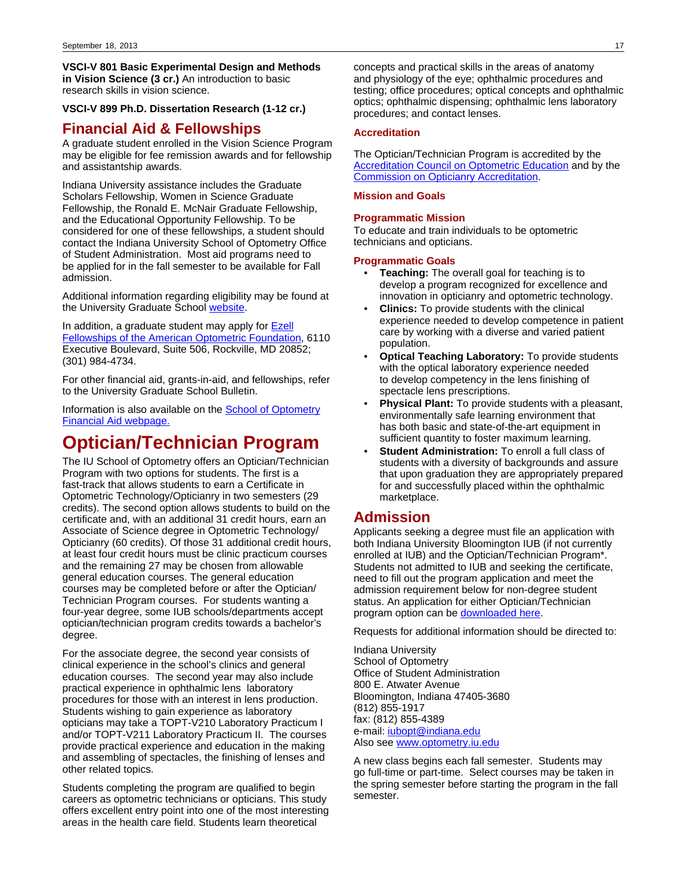**VSCI-V 801 Basic Experimental Design and Methods in Vision Science (3 cr.)** An introduction to basic research skills in vision science.

# **VSCI-V 899 Ph.D. Dissertation Research (1-12 cr.)**

# **Financial Aid & Fellowships**

A graduate student enrolled in the Vision Science Program may be eligible for fee remission awards and for fellowship and assistantship awards.

Indiana University assistance includes the Graduate Scholars Fellowship, Women in Science Graduate Fellowship, the Ronald E. McNair Graduate Fellowship, and the Educational Opportunity Fellowship. To be considered for one of these fellowships, a student should contact the Indiana University School of Optometry Office of Student Administration. Most aid programs need to be applied for in the fall semester to be available for Fall admission.

Additional information regarding eligibility may be found at the University Graduate School [website.](http://graduate.indiana.edu/index.shtml)

In addition, a graduate student may apply for **[Ezell](http://www.ezell.org)** [Fellowships of the American Optometric Foundation,](http://www.ezell.org) 6110 Executive Boulevard, Suite 506, Rockville, MD 20852; (301) 984-4734.

For other financial aid, grants-in-aid, and fellowships, refer to the University Graduate School Bulletin.

Information is also available on the [School of Optometry](http://www.optometry.iu.edu/admissions/financial-aid-scholarships/index.shtml) [Financial Aid webpage.](http://www.optometry.iu.edu/admissions/financial-aid-scholarships/index.shtml)

# **Optician/Technician Program**

The IU School of Optometry offers an Optician/Technician Program with two options for students. The first is a fast-track that allows students to earn a Certificate in Optometric Technology/Opticianry in two semesters (29 credits). The second option allows students to build on the certificate and, with an additional 31 credit hours, earn an Associate of Science degree in Optometric Technology/ Opticianry (60 credits). Of those 31 additional credit hours, at least four credit hours must be clinic practicum courses and the remaining 27 may be chosen from allowable general education courses. The general education courses may be completed before or after the Optician/ Technician Program courses. For students wanting a four-year degree, some IUB schools/departments accept optician/technician program credits towards a bachelor's degree.

For the associate degree, the second year consists of clinical experience in the school's clinics and general education courses. The second year may also include practical experience in ophthalmic lens laboratory procedures for those with an interest in lens production. Students wishing to gain experience as laboratory opticians may take a TOPT-V210 Laboratory Practicum I and/or TOPT-V211 Laboratory Practicum II. The courses provide practical experience and education in the making and assembling of spectacles, the finishing of lenses and other related topics.

Students completing the program are qualified to begin careers as optometric technicians or opticians. This study offers excellent entry point into one of the most interesting areas in the health care field. Students learn theoretical

concepts and practical skills in the areas of anatomy and physiology of the eye; ophthalmic procedures and testing; office procedures; optical concepts and ophthalmic optics; ophthalmic dispensing; ophthalmic lens laboratory procedures; and contact lenses.

### **Accreditation**

The Optician/Technician Program is accredited by the **[Accreditation Council on Optometric Education](http://www.aoa.org/x5153.xml) and by the** [Commission on Opticianry Accreditation.](http://www.coaccreditation.com/)

#### **Mission and Goals**

#### **Programmatic Mission**

To educate and train individuals to be optometric technicians and opticians.

### **Programmatic Goals**

- **Teaching:** The overall goal for teaching is to develop a program recognized for excellence and innovation in opticianry and optometric technology.
- **Clinics:** To provide students with the clinical experience needed to develop competence in patient care by working with a diverse and varied patient population.
- **Optical Teaching Laboratory:** To provide students with the optical laboratory experience needed to develop competency in the lens finishing of spectacle lens prescriptions.
- **Physical Plant:** To provide students with a pleasant, environmentally safe learning environment that has both basic and state-of-the-art equipment in sufficient quantity to foster maximum learning.
- **Student Administration:** To enroll a full class of students with a diversity of backgrounds and assure that upon graduation they are appropriately prepared for and successfully placed within the ophthalmic marketplace.

# **Admission**

Applicants seeking a degree must file an application with both Indiana University Bloomington IUB (if not currently enrolled at IUB) and the Optician/Technician Program\*. Students not admitted to IUB and seeking the certificate, need to fill out the program application and meet the admission requirement below for non-degree student status. An application for either Optician/Technician program option can be [downloaded here.](http://www.optometry.iu.edu/admissions/apply/as.shtml)

Requests for additional information should be directed to:

Indiana University School of Optometry Office of Student Administration 800 E. Atwater Avenue Bloomington, Indiana 47405-3680 (812) 855-1917 fax: (812) 855-4389 e-mail: [iubopt@indiana.edu](mailto:iubopt@indiana.edu) Also see [www.optometry.iu.edu](http://www.optometry.iu.edu)

A new class begins each fall semester. Students may go full-time or part-time. Select courses may be taken in the spring semester before starting the program in the fall semester.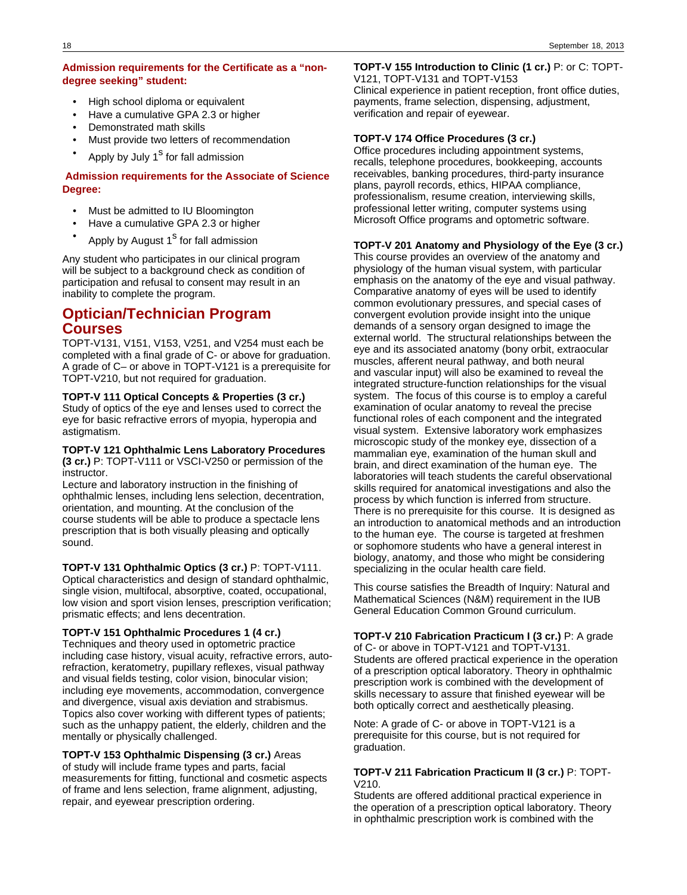### **Admission requirements for the Certificate as a "nondegree seeking" student:**

- High school diploma or equivalent
- Have a cumulative GPA 2.3 or higher
- Demonstrated math skills
- Must provide two letters of recommendation
- Apply by July 1<sup>s</sup> for fall admission

## **Admission requirements for the Associate of Science Degree:**

- Must be admitted to IU Bloomington
- Have a cumulative GPA 2.3 or higher
- Apply by August 1<sup>s</sup> for fall admission

Any student who participates in our clinical program will be subject to a background check as condition of participation and refusal to consent may result in an inability to complete the program.

# **Optician/Technician Program Courses**

TOPT-V131, V151, V153, V251, and V254 must each be completed with a final grade of C- or above for graduation. A grade of C– or above in TOPT-V121 is a prerequisite for TOPT-V210, but not required for graduation.

**TOPT-V 111 Optical Concepts & Properties (3 cr.)** Study of optics of the eye and lenses used to correct the eye for basic refractive errors of myopia, hyperopia and astigmatism.

#### **TOPT-V 121 Ophthalmic Lens Laboratory Procedures (3 cr.)** P: TOPT-V111 or VSCI-V250 or permission of the instructor.

Lecture and laboratory instruction in the finishing of ophthalmic lenses, including lens selection, decentration, orientation, and mounting. At the conclusion of the course students will be able to produce a spectacle lens prescription that is both visually pleasing and optically sound.

**TOPT-V 131 Ophthalmic Optics (3 cr.)** P: TOPT-V111. Optical characteristics and design of standard ophthalmic, single vision, multifocal, absorptive, coated, occupational, low vision and sport vision lenses, prescription verification; prismatic effects; and lens decentration.

### **TOPT-V 151 Ophthalmic Procedures 1 (4 cr.)**

Techniques and theory used in optometric practice including case history, visual acuity, refractive errors, autorefraction, keratometry, pupillary reflexes, visual pathway and visual fields testing, color vision, binocular vision; including eye movements, accommodation, convergence and divergence, visual axis deviation and strabismus. Topics also cover working with different types of patients; such as the unhappy patient, the elderly, children and the mentally or physically challenged.

**TOPT-V 153 Ophthalmic Dispensing (3 cr.)** Areas of study will include frame types and parts, facial measurements for fitting, functional and cosmetic aspects of frame and lens selection, frame alignment, adjusting, repair, and eyewear prescription ordering.

# **TOPT-V 155 Introduction to Clinic (1 cr.)** P: or C: TOPT-

V121, TOPT-V131 and TOPT-V153 Clinical experience in patient reception, front office duties, payments, frame selection, dispensing, adjustment, verification and repair of eyewear.

### **TOPT-V 174 Office Procedures (3 cr.)**

Office procedures including appointment systems, recalls, telephone procedures, bookkeeping, accounts receivables, banking procedures, third-party insurance plans, payroll records, ethics, HIPAA compliance, professionalism, resume creation, interviewing skills, professional letter writing, computer systems using Microsoft Office programs and optometric software.

## **TOPT-V 201 Anatomy and Physiology of the Eye (3 cr.)**

This course provides an overview of the anatomy and physiology of the human visual system, with particular emphasis on the anatomy of the eye and visual pathway. Comparative anatomy of eyes will be used to identify common evolutionary pressures, and special cases of convergent evolution provide insight into the unique demands of a sensory organ designed to image the external world. The structural relationships between the eye and its associated anatomy (bony orbit, extraocular muscles, afferent neural pathway, and both neural and vascular input) will also be examined to reveal the integrated structure-function relationships for the visual system. The focus of this course is to employ a careful examination of ocular anatomy to reveal the precise functional roles of each component and the integrated visual system. Extensive laboratory work emphasizes microscopic study of the monkey eye, dissection of a mammalian eye, examination of the human skull and brain, and direct examination of the human eye. The laboratories will teach students the careful observational skills required for anatomical investigations and also the process by which function is inferred from structure. There is no prerequisite for this course. It is designed as an introduction to anatomical methods and an introduction to the human eye. The course is targeted at freshmen or sophomore students who have a general interest in biology, anatomy, and those who might be considering specializing in the ocular health care field.

This course satisfies the Breadth of Inquiry: Natural and Mathematical Sciences (N&M) requirement in the IUB General Education Common Ground curriculum.

#### **TOPT-V 210 Fabrication Practicum I (3 cr.)** P: A grade of C- or above in TOPT-V121 and TOPT-V131. Students are offered practical experience in the operation of a prescription optical laboratory. Theory in ophthalmic prescription work is combined with the development of skills necessary to assure that finished eyewear will be both optically correct and aesthetically pleasing.

Note: A grade of C- or above in TOPT-V121 is a prerequisite for this course, but is not required for graduation.

#### **TOPT-V 211 Fabrication Practicum II (3 cr.)** P: TOPT-V210.

Students are offered additional practical experience in the operation of a prescription optical laboratory. Theory in ophthalmic prescription work is combined with the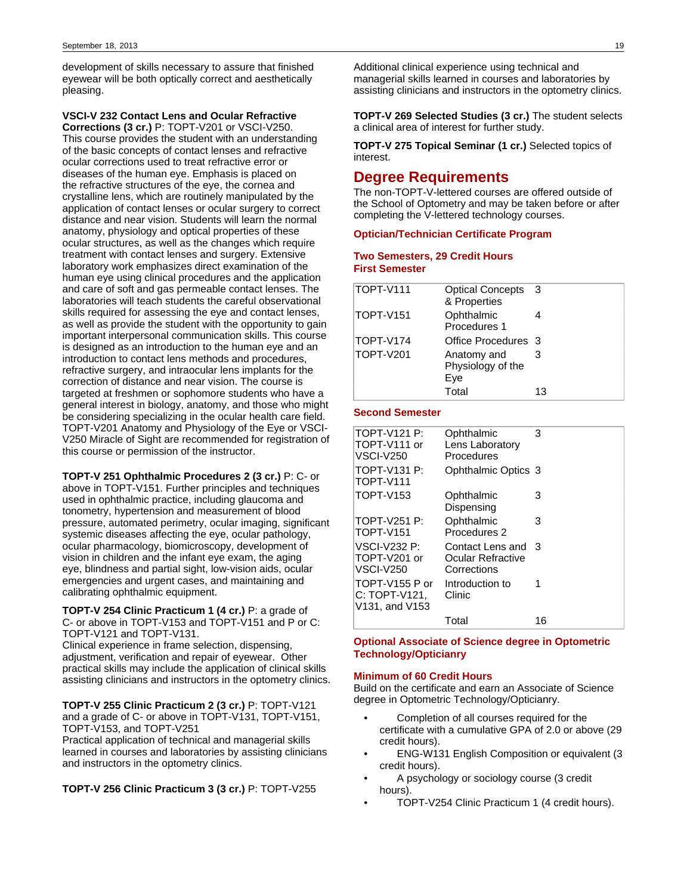development of skills necessary to assure that finished eyewear will be both optically correct and aesthetically pleasing.

**VSCI-V 232 Contact Lens and Ocular Refractive**

**Corrections (3 cr.)** P: TOPT-V201 or VSCI-V250. This course provides the student with an understanding of the basic concepts of contact lenses and refractive ocular corrections used to treat refractive error or diseases of the human eye. Emphasis is placed on the refractive structures of the eye, the cornea and crystalline lens, which are routinely manipulated by the application of contact lenses or ocular surgery to correct distance and near vision. Students will learn the normal anatomy, physiology and optical properties of these ocular structures, as well as the changes which require treatment with contact lenses and surgery. Extensive laboratory work emphasizes direct examination of the human eye using clinical procedures and the application and care of soft and gas permeable contact lenses. The laboratories will teach students the careful observational skills required for assessing the eye and contact lenses, as well as provide the student with the opportunity to gain important interpersonal communication skills. This course is designed as an introduction to the human eye and an introduction to contact lens methods and procedures, refractive surgery, and intraocular lens implants for the correction of distance and near vision. The course is targeted at freshmen or sophomore students who have a general interest in biology, anatomy, and those who might be considering specializing in the ocular health care field. TOPT-V201 Anatomy and Physiology of the Eye or VSCI-V250 Miracle of Sight are recommended for registration of this course or permission of the instructor.

**TOPT-V 251 Ophthalmic Procedures 2 (3 cr.)** P: C- or above in TOPT-V151. Further principles and techniques used in ophthalmic practice, including glaucoma and tonometry, hypertension and measurement of blood pressure, automated perimetry, ocular imaging, significant systemic diseases affecting the eye, ocular pathology, ocular pharmacology, biomicroscopy, development of vision in children and the infant eye exam, the aging eye, blindness and partial sight, low-vision aids, ocular emergencies and urgent cases, and maintaining and calibrating ophthalmic equipment.

**TOPT-V 254 Clinic Practicum 1 (4 cr.)** P: a grade of C- or above in TOPT-V153 and TOPT-V151 and P or C: TOPT-V121 and TOPT-V131.

Clinical experience in frame selection, dispensing, adjustment, verification and repair of eyewear. Other practical skills may include the application of clinical skills assisting clinicians and instructors in the optometry clinics.

**TOPT-V 255 Clinic Practicum 2 (3 cr.)** P: TOPT-V121 and a grade of C- or above in TOPT-V131, TOPT-V151, TOPT-V153, and TOPT-V251

Practical application of technical and managerial skills learned in courses and laboratories by assisting clinicians and instructors in the optometry clinics.

**TOPT-V 256 Clinic Practicum 3 (3 cr.)** P: TOPT-V255

Additional clinical experience using technical and managerial skills learned in courses and laboratories by assisting clinicians and instructors in the optometry clinics.

**TOPT-V 269 Selected Studies (3 cr.)** The student selects a clinical area of interest for further study.

**TOPT-V 275 Topical Seminar (1 cr.)** Selected topics of interest.

# **Degree Requirements**

The non-TOPT-V-lettered courses are offered outside of the School of Optometry and may be taken before or after completing the V-lettered technology courses.

### **Optician/Technician Certificate Program**

#### **Two Semesters, 29 Credit Hours First Semester**

| TOPT-V111        | Optical Concepts 3<br>& Properties      |    |
|------------------|-----------------------------------------|----|
| TOPT-V151        | Ophthalmic<br>Procedures 1              |    |
| TOPT-V174        | Office Procedures 3                     |    |
| <b>TOPT-V201</b> | Anatomy and<br>Physiology of the<br>Eve | 3  |
|                  | Total                                   | 13 |

### **Second Semester**

| TOPT-V121 P:<br>TOPT-V111 or<br><b>VSCI-V250</b>             | Ophthalmic<br>Lens Laboratory<br>Procedures          | 3  |
|--------------------------------------------------------------|------------------------------------------------------|----|
| <b>TOPT-V131 P:</b><br><b>TOPT-V111</b>                      | Ophthalmic Optics 3                                  |    |
| <b>TOPT-V153</b>                                             | Ophthalmic<br>Dispensing                             | з  |
| TOPT-V251 P:<br><b>TOPT-V151</b>                             | Ophthalmic<br>Procedures <sub>2</sub>                | 3  |
| <b>VSCI-V232 P:</b><br>TOPT-V201 or<br>VSCI-V <sub>250</sub> | Contact Lens and<br>Ocular Refractive<br>Corrections | -3 |
| TOPT-V155 P or<br>C: TOPT-V121.<br>V131, and V153            | Introduction to<br>Clinic                            | 1  |
|                                                              | Total                                                | 16 |

## **Optional Associate of Science degree in Optometric Technology/Opticianry**

## **Minimum of 60 Credit Hours**

Build on the certificate and earn an Associate of Science degree in Optometric Technology/Opticianry.

- Completion of all courses required for the certificate with a cumulative GPA of 2.0 or above (29 credit hours).
- ENG-W131 English Composition or equivalent (3 credit hours).
- A psychology or sociology course (3 credit hours).
- TOPT-V254 Clinic Practicum 1 (4 credit hours).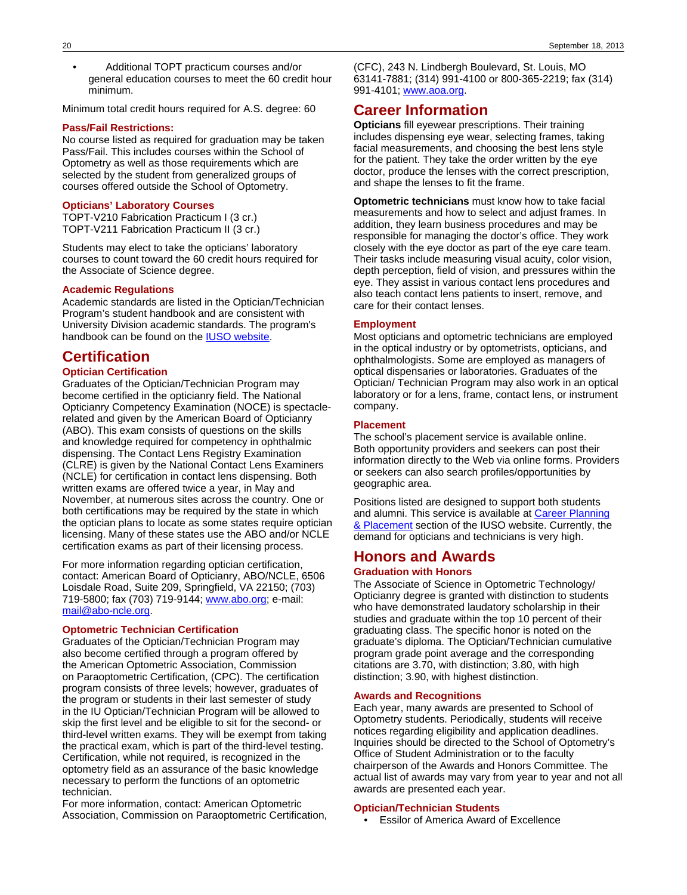• Additional TOPT practicum courses and/or general education courses to meet the 60 credit hour minimum.

Minimum total credit hours required for A.S. degree: 60

#### **Pass/Fail Restrictions:**

No course listed as required for graduation may be taken Pass/Fail. This includes courses within the School of Optometry as well as those requirements which are selected by the student from generalized groups of courses offered outside the School of Optometry.

#### **Opticians' Laboratory Courses**

TOPT-V210 Fabrication Practicum I (3 cr.) TOPT-V211 Fabrication Practicum II (3 cr.)

Students may elect to take the opticians' laboratory courses to count toward the 60 credit hours required for the Associate of Science degree.

#### **Academic Regulations**

Academic standards are listed in the Optician/Technician Program's student handbook and are consistent with University Division academic standards. The program's handbook can be found on the [IUSO website](http://www.optometry.iu.edu).

# **Certification**

## **Optician Certification**

Graduates of the Optician/Technician Program may become certified in the opticianry field. The National Opticianry Competency Examination (NOCE) is spectaclerelated and given by the American Board of Opticianry (ABO). This exam consists of questions on the skills and knowledge required for competency in ophthalmic dispensing. The Contact Lens Registry Examination (CLRE) is given by the National Contact Lens Examiners (NCLE) for certification in contact lens dispensing. Both written exams are offered twice a year, in May and November, at numerous sites across the country. One or both certifications may be required by the state in which the optician plans to locate as some states require optician licensing. Many of these states use the ABO and/or NCLE certification exams as part of their licensing process.

For more information regarding optician certification, contact: American Board of Opticianry, ABO/NCLE, 6506 Loisdale Road, Suite 209, Springfield, VA 22150; (703) 719-5800; fax (703) 719-9144; [www.abo.org;](http://www.abo.org/) e-mail: [mail@abo-ncle.org.](mailto:%20mail@abo-ncle.org)

## **Optometric Technician Certification**

Graduates of the Optician/Technician Program may also become certified through a program offered by the American Optometric Association, Commission on Paraoptometric Certification, (CPC). The certification program consists of three levels; however, graduates of the program or students in their last semester of study in the IU Optician/Technician Program will be allowed to skip the first level and be eligible to sit for the second- or third-level written exams. They will be exempt from taking the practical exam, which is part of the third-level testing. Certification, while not required, is recognized in the optometry field as an assurance of the basic knowledge necessary to perform the functions of an optometric technician.

For more information, contact: American Optometric Association, Commission on Paraoptometric Certification,

(CFC), 243 N. Lindbergh Boulevard, St. Louis, MO 63141-7881; (314) 991-4100 or 800-365-2219; fax (314) 991-4101; [www.aoa.org.](http://www.aoa.org)

# **Career Information**

**Opticians** fill eyewear prescriptions. Their training includes dispensing eye wear, selecting frames, taking facial measurements, and choosing the best lens style for the patient. They take the order written by the eye doctor, produce the lenses with the correct prescription, and shape the lenses to fit the frame.

**Optometric technicians** must know how to take facial measurements and how to select and adjust frames. In addition, they learn business procedures and may be responsible for managing the doctor's office. They work closely with the eye doctor as part of the eye care team. Their tasks include measuring visual acuity, color vision, depth perception, field of vision, and pressures within the eye. They assist in various contact lens procedures and also teach contact lens patients to insert, remove, and care for their contact lenses.

### **Employment**

Most opticians and optometric technicians are employed in the optical industry or by optometrists, opticians, and ophthalmologists. Some are employed as managers of optical dispensaries or laboratories. Graduates of the Optician/ Technician Program may also work in an optical laboratory or for a lens, frame, contact lens, or instrument company.

### **Placement**

The school's placement service is available online. Both opportunity providers and seekers can post their information directly to the Web via online forms. Providers or seekers can also search profiles/opportunities by geographic area.

Positions listed are designed to support both students and alumni. This service is available at [Career Planning](http://www.optometry.iu.edu/students/career-planning/index.shtml) [& Placement](http://www.optometry.iu.edu/students/career-planning/index.shtml) section of the IUSO website. Currently, the demand for opticians and technicians is very high.

# **Honors and Awards Graduation with Honors**

The Associate of Science in Optometric Technology/ Opticianry degree is granted with distinction to students who have demonstrated laudatory scholarship in their studies and graduate within the top 10 percent of their graduating class. The specific honor is noted on the graduate's diploma. The Optician/Technician cumulative program grade point average and the corresponding citations are 3.70, with distinction; 3.80, with high distinction; 3.90, with highest distinction.

#### **Awards and Recognitions**

Each year, many awards are presented to School of Optometry students. Periodically, students will receive notices regarding eligibility and application deadlines. Inquiries should be directed to the School of Optometry's Office of Student Administration or to the faculty chairperson of the Awards and Honors Committee. The actual list of awards may vary from year to year and not all awards are presented each year.

#### **Optician/Technician Students**

• Essilor of America Award of Excellence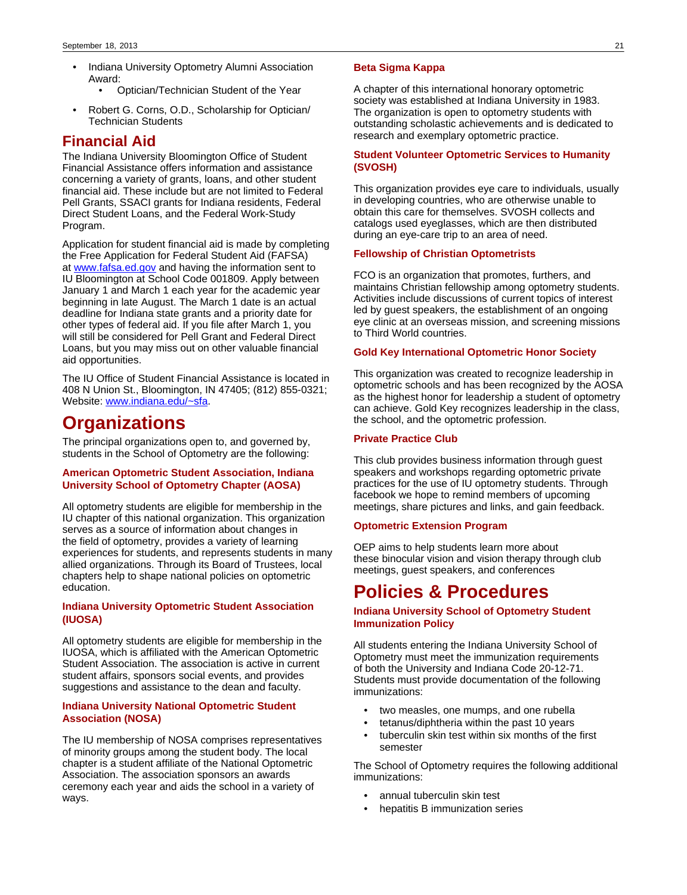- Indiana University Optometry Alumni Association Award:
	- Optician/Technician Student of the Year
- Robert G. Corns, O.D., Scholarship for Optician/ Technician Students

# **Financial Aid**

The Indiana University Bloomington Office of Student Financial Assistance offers information and assistance concerning a variety of grants, loans, and other student financial aid. These include but are not limited to Federal Pell Grants, SSACI grants for Indiana residents, Federal Direct Student Loans, and the Federal Work-Study Program.

Application for student financial aid is made by completing the Free Application for Federal Student Aid (FAFSA) at [www.fafsa.ed.gov](http://www.fafsa.ed.gov) and having the information sent to IU Bloomington at School Code 001809. Apply between January 1 and March 1 each year for the academic year beginning in late August. The March 1 date is an actual deadline for Indiana state grants and a priority date for other types of federal aid. If you file after March 1, you will still be considered for Pell Grant and Federal Direct Loans, but you may miss out on other valuable financial aid opportunities.

The IU Office of Student Financial Assistance is located in 408 N Union St., Bloomington, IN 47405; (812) 855-0321; Website: [www.indiana.edu/~sfa.](http://www.indiana.edu/~sfa)

# **Organizations**

The principal organizations open to, and governed by, students in the School of Optometry are the following:

### **American Optometric Student Association, Indiana University School of Optometry Chapter (AOSA)**

All optometry students are eligible for membership in the IU chapter of this national organization. This organization serves as a source of information about changes in the field of optometry, provides a variety of learning experiences for students, and represents students in many allied organizations. Through its Board of Trustees, local chapters help to shape national policies on optometric education.

### **Indiana University Optometric Student Association (IUOSA)**

All optometry students are eligible for membership in the IUOSA, which is affiliated with the American Optometric Student Association. The association is active in current student affairs, sponsors social events, and provides suggestions and assistance to the dean and faculty.

## **Indiana University National Optometric Student Association (NOSA)**

The IU membership of NOSA comprises representatives of minority groups among the student body. The local chapter is a student affiliate of the National Optometric Association. The association sponsors an awards ceremony each year and aids the school in a variety of ways.

#### **Beta Sigma Kappa**

A chapter of this international honorary optometric society was established at Indiana University in 1983. The organization is open to optometry students with outstanding scholastic achievements and is dedicated to research and exemplary optometric practice.

## **Student Volunteer Optometric Services to Humanity (SVOSH)**

This organization provides eye care to individuals, usually in developing countries, who are otherwise unable to obtain this care for themselves. SVOSH collects and catalogs used eyeglasses, which are then distributed during an eye-care trip to an area of need.

### **Fellowship of Christian Optometrists**

FCO is an organization that promotes, furthers, and maintains Christian fellowship among optometry students. Activities include discussions of current topics of interest led by guest speakers, the establishment of an ongoing eye clinic at an overseas mission, and screening missions to Third World countries.

### **Gold Key International Optometric Honor Society**

This organization was created to recognize leadership in optometric schools and has been recognized by the AOSA as the highest honor for leadership a student of optometry can achieve. Gold Key recognizes leadership in the class, the school, and the optometric profession.

## **Private Practice Club**

This club provides business information through guest speakers and workshops regarding optometric private practices for the use of IU optometry students. Through facebook we hope to remind members of upcoming meetings, share pictures and links, and gain feedback.

#### **Optometric Extension Program**

OEP aims to help students learn more about these binocular vision and vision therapy through club meetings, guest speakers, and conferences

# **Policies & Procedures**

### **Indiana University School of Optometry Student Immunization Policy**

All students entering the Indiana University School of Optometry must meet the immunization requirements of both the University and Indiana Code 20-12-71. Students must provide documentation of the following immunizations:

- two measles, one mumps, and one rubella
- tetanus/diphtheria within the past 10 years
- tuberculin skin test within six months of the first semester

The School of Optometry requires the following additional immunizations:

- annual tuberculin skin test
- hepatitis B immunization series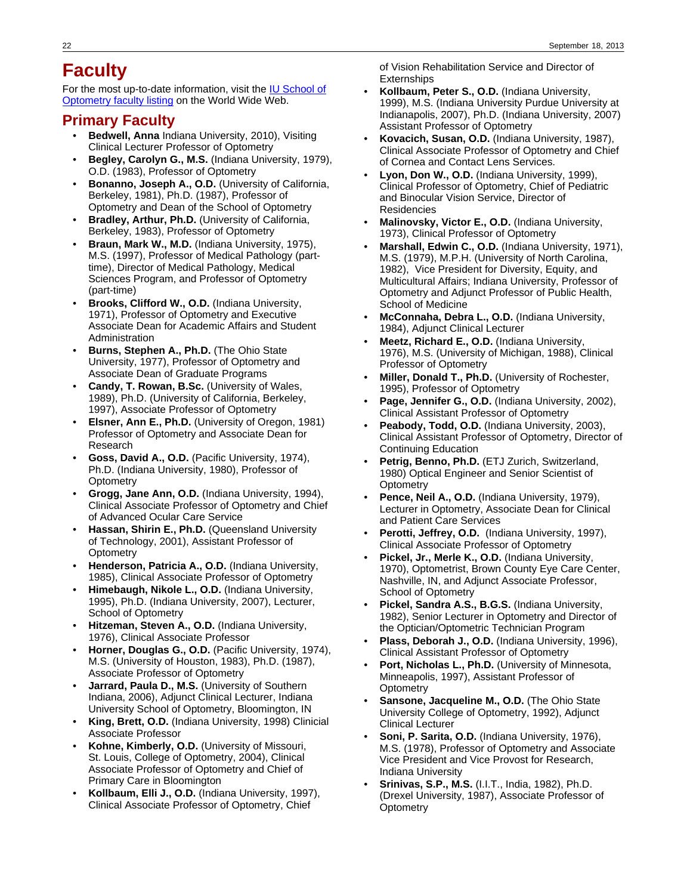# **Faculty**

For the most up-to-date information, visit the [IU School of](http://www.optometry.iu.edu/faculty-research/directory/index.shtml) [Optometry faculty listing](http://www.optometry.iu.edu/faculty-research/directory/index.shtml) on the World Wide Web.

# **Primary Faculty**

- **Bedwell, Anna** Indiana University, 2010), Visiting Clinical Lecturer Professor of Optometry
- **Begley, Carolyn G., M.S.** (Indiana University, 1979), O.D. (1983), Professor of Optometry
- **Bonanno, Joseph A., O.D.** (University of California, Berkeley, 1981), Ph.D. (1987), Professor of Optometry and Dean of the School of Optometry
- **Bradley, Arthur, Ph.D.** (University of California, Berkeley, 1983), Professor of Optometry
- **Braun, Mark W., M.D.** (Indiana University, 1975), M.S. (1997), Professor of Medical Pathology (parttime), Director of Medical Pathology, Medical Sciences Program, and Professor of Optometry (part-time)
- **Brooks, Clifford W., O.D.** (Indiana University, 1971), Professor of Optometry and Executive Associate Dean for Academic Affairs and Student Administration
- **Burns, Stephen A., Ph.D.** (The Ohio State University, 1977), Professor of Optometry and Associate Dean of Graduate Programs
- **Candy, T. Rowan, B.Sc.** (University of Wales, 1989), Ph.D. (University of California, Berkeley, 1997), Associate Professor of Optometry
- **Elsner, Ann E., Ph.D.** (University of Oregon, 1981) Professor of Optometry and Associate Dean for Research
- **Goss, David A., O.D.** (Pacific University, 1974), Ph.D. (Indiana University, 1980), Professor of **Optometry**
- **Grogg, Jane Ann, O.D.** (Indiana University, 1994), Clinical Associate Professor of Optometry and Chief of Advanced Ocular Care Service
- **Hassan, Shirin E., Ph.D.** (Queensland University of Technology, 2001), Assistant Professor of **Optometry**
- **Henderson, Patricia A., O.D.** (Indiana University, 1985), Clinical Associate Professor of Optometry
- **Himebaugh, Nikole L., O.D.** (Indiana University, 1995), Ph.D. (Indiana University, 2007), Lecturer, School of Optometry
- **Hitzeman, Steven A., O.D.** (Indiana University, 1976), Clinical Associate Professor
- **Horner, Douglas G., O.D.** (Pacific University, 1974), M.S. (University of Houston, 1983), Ph.D. (1987), Associate Professor of Optometry
- **Jarrard, Paula D., M.S.** (University of Southern Indiana, 2006), Adjunct Clinical Lecturer, Indiana University School of Optometry, Bloomington, IN
- **King, Brett, O.D.** (Indiana University, 1998) Clinicial Associate Professor
- **Kohne, Kimberly, O.D.** (University of Missouri, St. Louis, College of Optometry, 2004), Clinical Associate Professor of Optometry and Chief of Primary Care in Bloomington
- **Kollbaum, Elli J., O.D.** (Indiana University, 1997), Clinical Associate Professor of Optometry, Chief

of Vision Rehabilitation Service and Director of **Externships** 

- **Kollbaum, Peter S., O.D.** (Indiana University, 1999), M.S. (Indiana University Purdue University at Indianapolis, 2007), Ph.D. (Indiana University, 2007) Assistant Professor of Optometry
- **Kovacich, Susan, O.D.** (Indiana University, 1987), Clinical Associate Professor of Optometry and Chief of Cornea and Contact Lens Services.
- **Lyon, Don W., O.D.** (Indiana University, 1999), Clinical Professor of Optometry, Chief of Pediatric and Binocular Vision Service, Director of Residencies
- **Malinovsky, Victor E., O.D.** (Indiana University, 1973), Clinical Professor of Optometry
- **Marshall, Edwin C., O.D.** (Indiana University, 1971), M.S. (1979), M.P.H. (University of North Carolina, 1982), Vice President for Diversity, Equity, and Multicultural Affairs; Indiana University, Professor of Optometry and Adjunct Professor of Public Health, School of Medicine
- **McConnaha, Debra L., O.D.** (Indiana University, 1984), Adjunct Clinical Lecturer
- **Meetz, Richard E., O.D.** (Indiana University, 1976), M.S. (University of Michigan, 1988), Clinical Professor of Optometry
- **Miller, Donald T., Ph.D.** (University of Rochester, 1995), Professor of Optometry
- Page, Jennifer G., O.D. (Indiana University, 2002), Clinical Assistant Professor of Optometry
- **Peabody, Todd, O.D.** (Indiana University, 2003), Clinical Assistant Professor of Optometry, Director of Continuing Education
- **Petrig, Benno, Ph.D.** (ETJ Zurich, Switzerland, 1980) Optical Engineer and Senior Scientist of **Optometry**
- **Pence, Neil A., O.D.** (Indiana University, 1979), Lecturer in Optometry, Associate Dean for Clinical and Patient Care Services
- **Perotti, Jeffrey, O.D.** (Indiana University, 1997), Clinical Associate Professor of Optometry
- **Pickel, Jr., Merle K., O.D.** (Indiana University, 1970), Optometrist, Brown County Eye Care Center, Nashville, IN, and Adjunct Associate Professor, School of Optometry
- **Pickel, Sandra A.S., B.G.S.** (Indiana University, 1982), Senior Lecturer in Optometry and Director of the Optician/Optometric Technician Program
- **Plass, Deborah J., O.D.** (Indiana University, 1996), Clinical Assistant Professor of Optometry
- **Port, Nicholas L., Ph.D.** (University of Minnesota, Minneapolis, 1997), Assistant Professor of **Optometry**
- **Sansone, Jacqueline M., O.D.** (The Ohio State University College of Optometry, 1992), Adjunct Clinical Lecturer
- **Soni, P. Sarita, O.D.** (Indiana University, 1976), M.S. (1978), Professor of Optometry and Associate Vice President and Vice Provost for Research, Indiana University
- **Srinivas, S.P., M.S.** (I.I.T., India, 1982), Ph.D. (Drexel University, 1987), Associate Professor of **Optometry**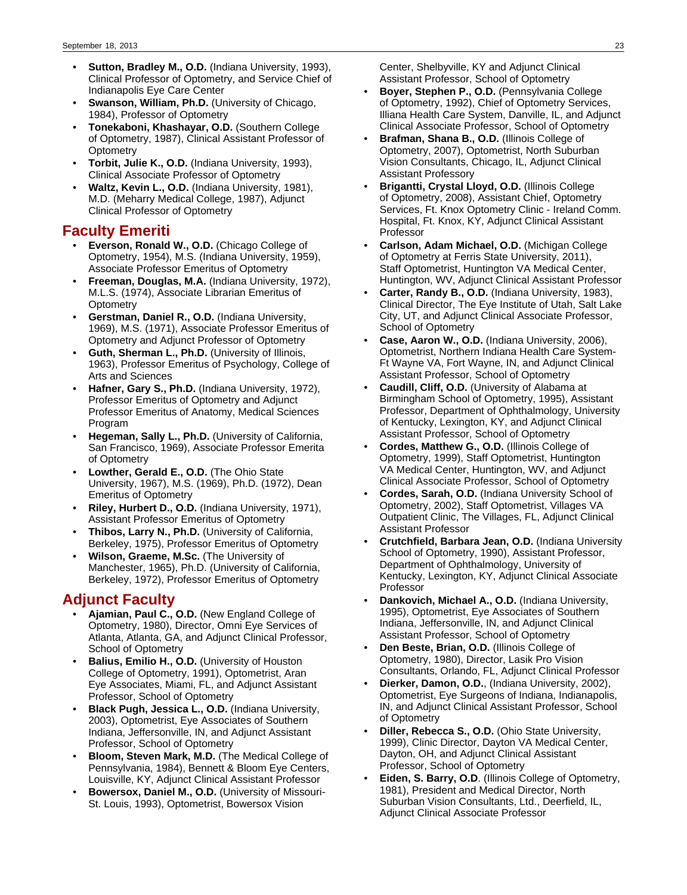- **Sutton, Bradley M., O.D.** (Indiana University, 1993), Clinical Professor of Optometry, and Service Chief of Indianapolis Eye Care Center
- **Swanson, William, Ph.D.** (University of Chicago, 1984), Professor of Optometry
- **Tonekaboni, Khashayar, O.D.** (Southern College of Optometry, 1987), Clinical Assistant Professor of **Optometry**
- **Torbit, Julie K., O.D.** (Indiana University, 1993), Clinical Associate Professor of Optometry
- **Waltz, Kevin L., O.D.** (Indiana University, 1981), M.D. (Meharry Medical College, 1987), Adjunct Clinical Professor of Optometry

# **Faculty Emeriti**

- **Everson, Ronald W., O.D.** (Chicago College of Optometry, 1954), M.S. (Indiana University, 1959), Associate Professor Emeritus of Optometry
- **Freeman, Douglas, M.A.** (Indiana University, 1972), M.L.S. (1974), Associate Librarian Emeritus of **Optometry**
- **Gerstman, Daniel R., O.D.** (Indiana University, 1969), M.S. (1971), Associate Professor Emeritus of Optometry and Adjunct Professor of Optometry
- **Guth, Sherman L., Ph.D.** (University of Illinois, 1963), Professor Emeritus of Psychology, College of Arts and Sciences
- **Hafner, Gary S., Ph.D.** (Indiana University, 1972), Professor Emeritus of Optometry and Adjunct Professor Emeritus of Anatomy, Medical Sciences Program
- **Hegeman, Sally L., Ph.D.** (University of California, San Francisco, 1969), Associate Professor Emerita of Optometry
- **Lowther, Gerald E., O.D.** (The Ohio State University, 1967), M.S. (1969), Ph.D. (1972), Dean Emeritus of Optometry
- **Riley, Hurbert D., O.D.** (Indiana University, 1971), Assistant Professor Emeritus of Optometry
- **Thibos, Larry N., Ph.D.** (University of California, Berkeley, 1975), Professor Emeritus of Optometry
- **Wilson, Graeme, M.Sc.** (The University of Manchester, 1965), Ph.D. (University of California, Berkeley, 1972), Professor Emeritus of Optometry

# **Adjunct Faculty**

- **Ajamian, Paul C., O.D.** (New England College of Optometry, 1980), Director, Omni Eye Services of Atlanta, Atlanta, GA, and Adjunct Clinical Professor, School of Optometry
- **Balius, Emilio H., O.D.** (University of Houston College of Optometry, 1991), Optometrist, Aran Eye Associates, Miami, FL, and Adjunct Assistant Professor, School of Optometry
- **Black Pugh, Jessica L., O.D.** (Indiana University, 2003), Optometrist, Eye Associates of Southern Indiana, Jeffersonville, IN, and Adjunct Assistant Professor, School of Optometry
- **Bloom, Steven Mark, M.D.** (The Medical College of Pennsylvania, 1984), Bennett & Bloom Eye Centers, Louisville, KY, Adjunct Clinical Assistant Professor
- **Bowersox, Daniel M., O.D.** (University of Missouri-St. Louis, 1993), Optometrist, Bowersox Vision

Center, Shelbyville, KY and Adjunct Clinical Assistant Professor, School of Optometry

- **Boyer, Stephen P., O.D.** (Pennsylvania College of Optometry, 1992), Chief of Optometry Services, Illiana Health Care System, Danville, IL, and Adjunct Clinical Associate Professor, School of Optometry
- **Brafman, Shana B., O.D.** (Illinois College of Optometry, 2007), Optometrist, North Suburban Vision Consultants, Chicago, IL, Adjunct Clinical Assistant Professory
- **Brigantti, Crystal Lloyd, O.D.** (Illinois College of Optometry, 2008), Assistant Chief, Optometry Services, Ft. Knox Optometry Clinic - Ireland Comm. Hospital, Ft. Knox, KY, Adjunct Clinical Assistant Professor
- **Carlson, Adam Michael, O.D.** (Michigan College of Optometry at Ferris State University, 2011), Staff Optometrist, Huntington VA Medical Center, Huntington, WV, Adjunct Clinical Assistant Professor
- **Carter, Randy B., O.D.** (Indiana University, 1983), Clinical Director, The Eye Institute of Utah, Salt Lake City, UT, and Adjunct Clinical Associate Professor, School of Optometry
- **Case, Aaron W., O.D.** (Indiana University, 2006), Optometrist, Northern Indiana Health Care System-Ft Wayne VA, Fort Wayne, IN, and Adjunct Clinical Assistant Professor, School of Optometry
- **Caudill, Cliff, O.D.** (University of Alabama at Birmingham School of Optometry, 1995), Assistant Professor, Department of Ophthalmology, University of Kentucky, Lexington, KY, and Adjunct Clinical Assistant Professor, School of Optometry
- **Cordes, Matthew G., O.D.** (Illinois College of Optometry, 1999), Staff Optometrist, Huntington VA Medical Center, Huntington, WV, and Adjunct Clinical Associate Professor, School of Optometry
- **Cordes, Sarah, O.D.** (Indiana University School of Optometry, 2002), Staff Optometrist, Villages VA Outpatient Clinic, The Villages, FL, Adjunct Clinical Assistant Professor
- **Crutchfield, Barbara Jean, O.D.** (Indiana University School of Optometry, 1990), Assistant Professor, Department of Ophthalmology, University of Kentucky, Lexington, KY, Adjunct Clinical Associate Professor
- **Dankovich, Michael A., O.D.** (Indiana University, 1995), Optometrist, Eye Associates of Southern Indiana, Jeffersonville, IN, and Adjunct Clinical Assistant Professor, School of Optometry
- **Den Beste, Brian, O.D.** (Illinois College of Optometry, 1980), Director, Lasik Pro Vision Consultants, Orlando, FL, Adjunct Clinical Professor
- **Dierker, Damon, O.D.**, (Indiana University, 2002), Optometrist, Eye Surgeons of Indiana, Indianapolis, IN, and Adjunct Clinical Assistant Professor, School of Optometry
- **Diller, Rebecca S., O.D.** (Ohio State University, 1999), Clinic Director, Dayton VA Medical Center, Dayton, OH, and Adjunct Clinical Assistant Professor, School of Optometry
- **Eiden, S. Barry, O.D**. (Illinois College of Optometry, 1981), President and Medical Director, North Suburban Vision Consultants, Ltd., Deerfield, IL, Adjunct Clinical Associate Professor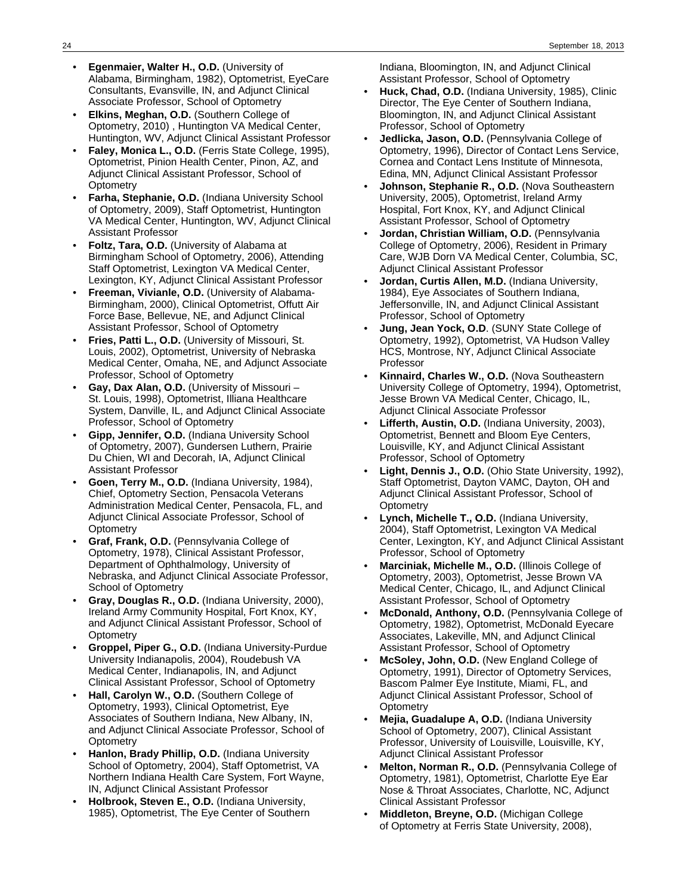- **Egenmaier, Walter H., O.D.** (University of Alabama, Birmingham, 1982), Optometrist, EyeCare Consultants, Evansville, IN, and Adjunct Clinical Associate Professor, School of Optometry
- **Elkins, Meghan, O.D.** (Southern College of Optometry, 2010) , Huntington VA Medical Center, Huntington, WV, Adjunct Clinical Assistant Professor
- **Faley, Monica L., O.D.** (Ferris State College, 1995), Optometrist, Pinion Health Center, Pinon, AZ, and Adjunct Clinical Assistant Professor, School of **Optometry**
- **Farha, Stephanie, O.D.** (Indiana University School of Optometry, 2009), Staff Optometrist, Huntington VA Medical Center, Huntington, WV, Adjunct Clinical Assistant Professor
- **Foltz, Tara, O.D.** (University of Alabama at Birmingham School of Optometry, 2006), Attending Staff Optometrist, Lexington VA Medical Center, Lexington, KY, Adjunct Clinical Assistant Professor
- **Freeman, Vivianle, O.D.** (University of Alabama-Birmingham, 2000), Clinical Optometrist, Offutt Air Force Base, Bellevue, NE, and Adjunct Clinical Assistant Professor, School of Optometry
- **Fries, Patti L., O.D.** (University of Missouri, St. Louis, 2002), Optometrist, University of Nebraska Medical Center, Omaha, NE, and Adjunct Associate Professor, School of Optometry
- **Gay, Dax Alan, O.D.** (University of Missouri St. Louis, 1998), Optometrist, Illiana Healthcare System, Danville, IL, and Adjunct Clinical Associate Professor, School of Optometry
- **Gipp, Jennifer, O.D.** (Indiana University School of Optometry, 2007), Gundersen Luthern, Prairie Du Chien, WI and Decorah, IA, Adjunct Clinical Assistant Professor
- **Goen, Terry M., O.D.** (Indiana University, 1984), Chief, Optometry Section, Pensacola Veterans Administration Medical Center, Pensacola, FL, and Adjunct Clinical Associate Professor, School of **Optometry**
- **Graf, Frank, O.D.** (Pennsylvania College of Optometry, 1978), Clinical Assistant Professor, Department of Ophthalmology, University of Nebraska, and Adjunct Clinical Associate Professor, School of Optometry
- **Gray, Douglas R., O.D.** (Indiana University, 2000), Ireland Army Community Hospital, Fort Knox, KY, and Adjunct Clinical Assistant Professor, School of **Optometry**
- **Groppel, Piper G., O.D.** (Indiana University-Purdue University Indianapolis, 2004), Roudebush VA Medical Center, Indianapolis, IN, and Adjunct Clinical Assistant Professor, School of Optometry
- **Hall, Carolyn W., O.D.** (Southern College of Optometry, 1993), Clinical Optometrist, Eye Associates of Southern Indiana, New Albany, IN, and Adjunct Clinical Associate Professor, School of **Optometry**
- **Hanlon, Brady Phillip, O.D.** (Indiana University School of Optometry, 2004), Staff Optometrist, VA Northern Indiana Health Care System, Fort Wayne, IN, Adjunct Clinical Assistant Professor
- **Holbrook, Steven E., O.D.** (Indiana University, 1985), Optometrist, The Eye Center of Southern

Indiana, Bloomington, IN, and Adjunct Clinical Assistant Professor, School of Optometry

- **Huck, Chad, O.D.** (Indiana University, 1985), Clinic Director, The Eye Center of Southern Indiana, Bloomington, IN, and Adjunct Clinical Assistant Professor, School of Optometry
- **Jedlicka, Jason, O.D.** (Pennsylvania College of Optometry, 1996), Director of Contact Lens Service, Cornea and Contact Lens Institute of Minnesota, Edina, MN, Adjunct Clinical Assistant Professor
- **Johnson, Stephanie R., O.D.** (Nova Southeastern University, 2005), Optometrist, Ireland Army Hospital, Fort Knox, KY, and Adjunct Clinical Assistant Professor, School of Optometry
- **Jordan, Christian William, O.D.** (Pennsylvania College of Optometry, 2006), Resident in Primary Care, WJB Dorn VA Medical Center, Columbia, SC, Adjunct Clinical Assistant Professor
- **Jordan, Curtis Allen, M.D.** (Indiana University, 1984), Eye Associates of Southern Indiana, Jeffersonville, IN, and Adjunct Clinical Assistant Professor, School of Optometry
- **Jung, Jean Yock, O.D**. (SUNY State College of Optometry, 1992), Optometrist, VA Hudson Valley HCS, Montrose, NY, Adjunct Clinical Associate Professor
- **Kinnaird, Charles W., O.D.** (Nova Southeastern University College of Optometry, 1994), Optometrist, Jesse Brown VA Medical Center, Chicago, IL, Adjunct Clinical Associate Professor
- **Lifferth, Austin, O.D.** (Indiana University, 2003), Optometrist, Bennett and Bloom Eye Centers, Louisville, KY, and Adjunct Clinical Assistant Professor, School of Optometry
- **Light, Dennis J., O.D.** (Ohio State University, 1992), Staff Optometrist, Dayton VAMC, Dayton, OH and Adjunct Clinical Assistant Professor, School of **Optometry**
- **Lynch, Michelle T., O.D.** (Indiana University, 2004), Staff Optometrist, Lexington VA Medical Center, Lexington, KY, and Adjunct Clinical Assistant Professor, School of Optometry
- **Marciniak, Michelle M., O.D.** (Illinois College of Optometry, 2003), Optometrist, Jesse Brown VA Medical Center, Chicago, IL, and Adjunct Clinical Assistant Professor, School of Optometry
- **McDonald, Anthony, O.D.** (Pennsylvania College of Optometry, 1982), Optometrist, McDonald Eyecare Associates, Lakeville, MN, and Adjunct Clinical Assistant Professor, School of Optometry
- **McSoley, John, O.D.** (New England College of Optometry, 1991), Director of Optometry Services, Bascom Palmer Eye Institute, Miami, FL, and Adjunct Clinical Assistant Professor, School of **Optometry**
- **Mejia, Guadalupe A, O.D.** (Indiana University School of Optometry, 2007), Clinical Assistant Professor, University of Louisville, Louisville, KY, Adjunct Clinical Assistant Professor
- **Melton, Norman R., O.D.** (Pennsylvania College of Optometry, 1981), Optometrist, Charlotte Eye Ear Nose & Throat Associates, Charlotte, NC, Adjunct Clinical Assistant Professor
- **Middleton, Breyne, O.D.** (Michigan College of Optometry at Ferris State University, 2008),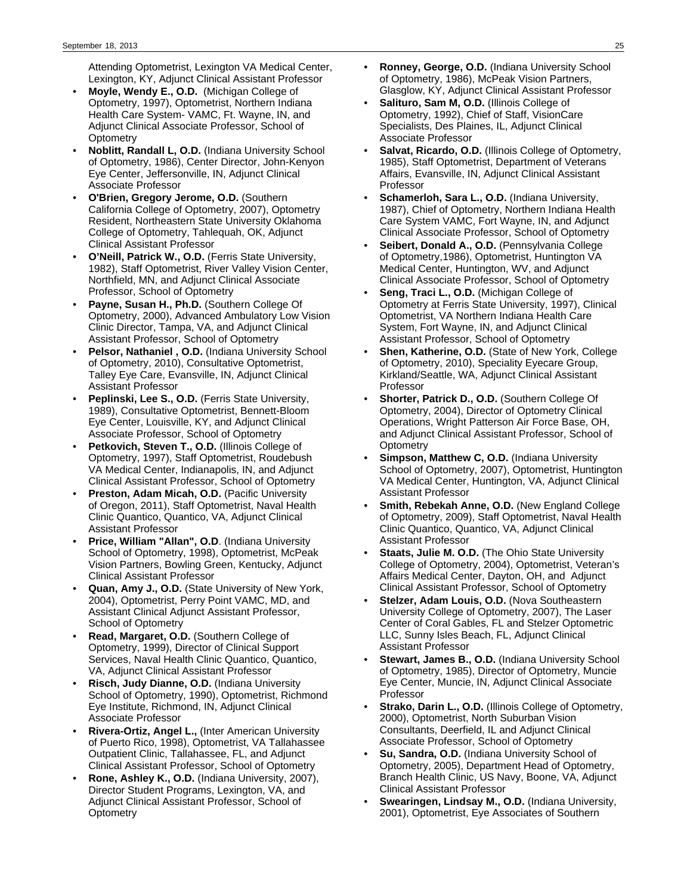Attending Optometrist, Lexington VA Medical Center, Lexington, KY, Adjunct Clinical Assistant Professor

- **Moyle, Wendy E., O.D.** (Michigan College of Optometry, 1997), Optometrist, Northern Indiana Health Care System- VAMC, Ft. Wayne, IN, and Adjunct Clinical Associate Professor, School of **Optometry**
- **Noblitt, Randall L, O.D.** (Indiana University School of Optometry, 1986), Center Director, John-Kenyon Eye Center, Jeffersonville, IN, Adjunct Clinical Associate Professor
- **O'Brien, Gregory Jerome, O.D.** (Southern California College of Optometry, 2007), Optometry Resident, Northeastern State University Oklahoma College of Optometry, Tahlequah, OK, Adjunct Clinical Assistant Professor
- **O'Neill, Patrick W., O.D.** (Ferris State University, 1982), Staff Optometrist, River Valley Vision Center, Northfield, MN, and Adjunct Clinical Associate Professor, School of Optometry
- **Payne, Susan H., Ph.D.** (Southern College Of Optometry, 2000), Advanced Ambulatory Low Vision Clinic Director, Tampa, VA, and Adjunct Clinical Assistant Professor, School of Optometry
- **Pelsor, Nathaniel , O.D.** (Indiana University School of Optometry, 2010), Consultative Optometrist, Talley Eye Care, Evansville, IN, Adjunct Clinical Assistant Professor
- **Peplinski, Lee S., O.D.** (Ferris State University, 1989), Consultative Optometrist, Bennett-Bloom Eye Center, Louisville, KY, and Adjunct Clinical Associate Professor, School of Optometry
- **Petkovich, Steven T., O.D.** (Illinois College of Optometry, 1997), Staff Optometrist, Roudebush VA Medical Center, Indianapolis, IN, and Adjunct Clinical Assistant Professor, School of Optometry
- **Preston, Adam Micah, O.D.** (Pacific University of Oregon, 2011), Staff Optometrist, Naval Health Clinic Quantico, Quantico, VA, Adjunct Clinical Assistant Professor
- **Price, William "Allan", O.D**. (Indiana University School of Optometry, 1998), Optometrist, McPeak Vision Partners, Bowling Green, Kentucky, Adjunct Clinical Assistant Professor
- **Quan, Amy J., O.D.** (State University of New York, 2004), Optometrist, Perry Point VAMC, MD, and Assistant Clinical Adjunct Assistant Professor, School of Optometry
- **Read, Margaret, O.D.** (Southern College of Optometry, 1999), Director of Clinical Support Services, Naval Health Clinic Quantico, Quantico, VA, Adjunct Clinical Assistant Professor
- **Risch, Judy Dianne, O.D.** (Indiana University School of Optometry, 1990), Optometrist, Richmond Eye Institute, Richmond, IN, Adjunct Clinical Associate Professor
- **Rivera-Ortiz, Angel L.,** (Inter American University of Puerto Rico, 1998), Optometrist, VA Tallahassee Outpatient Clinic, Tallahassee, FL, and Adjunct Clinical Assistant Professor, School of Optometry
- **Rone, Ashley K., O.D.** (Indiana University, 2007), Director Student Programs, Lexington, VA, and Adjunct Clinical Assistant Professor, School of **Optometry**
- **Ronney, George, O.D.** (Indiana University School of Optometry, 1986), McPeak Vision Partners, Glasglow, KY, Adjunct Clinical Assistant Professor
- **Salituro, Sam M, O.D.** (Illinois College of Optometry, 1992), Chief of Staff, VisionCare Specialists, Des Plaines, IL, Adjunct Clinical Associate Professor
- **Salvat, Ricardo, O.D.** (Illinois College of Optometry, 1985), Staff Optometrist, Department of Veterans Affairs, Evansville, IN, Adjunct Clinical Assistant Professor
- **Schamerloh, Sara L., O.D.** (Indiana University, 1987), Chief of Optometry, Northern Indiana Health Care System VAMC, Fort Wayne, IN, and Adjunct Clinical Associate Professor, School of Optometry
- **Seibert, Donald A., O.D.** (Pennsylvania College of Optometry,1986), Optometrist, Huntington VA Medical Center, Huntington, WV, and Adjunct Clinical Associate Professor, School of Optometry
- **Seng, Traci L., O.D.** (Michigan College of Optometry at Ferris State University, 1997), Clinical Optometrist, VA Northern Indiana Health Care System, Fort Wayne, IN, and Adjunct Clinical Assistant Professor, School of Optometry
- **Shen, Katherine, O.D.** (State of New York, College of Optometry, 2010), Speciality Eyecare Group, Kirkland/Seattle, WA, Adjunct Clinical Assistant Professor
- **Shorter, Patrick D., O.D.** (Southern College Of Optometry, 2004), Director of Optometry Clinical Operations, Wright Patterson Air Force Base, OH, and Adjunct Clinical Assistant Professor, School of **Optometry**
- **Simpson, Matthew C, O.D.** (Indiana University School of Optometry, 2007), Optometrist, Huntington VA Medical Center, Huntington, VA, Adjunct Clinical Assistant Professor
- **Smith, Rebekah Anne, O.D.** (New England College of Optometry, 2009), Staff Optometrist, Naval Health Clinic Quantico, Quantico, VA, Adjunct Clinical Assistant Professor
- **Staats, Julie M. O.D.** (The Ohio State University College of Optometry, 2004), Optometrist, Veteran's Affairs Medical Center, Dayton, OH, and Adjunct Clinical Assistant Professor, School of Optometry
- **Stelzer, Adam Louis, O.D.** (Nova Southeastern University College of Optometry, 2007), The Laser Center of Coral Gables, FL and Stelzer Optometric LLC, Sunny Isles Beach, FL, Adjunct Clinical Assistant Professor
- **Stewart, James B., O.D.** (Indiana University School) of Optometry, 1985), Director of Optometry, Muncie Eye Center, Muncie, IN, Adjunct Clinical Associate Professor
- **Strako, Darin L., O.D.** (Illinois College of Optometry, 2000), Optometrist, North Suburban Vision Consultants, Deerfield, IL and Adjunct Clinical Associate Professor, School of Optometry
- **Su, Sandra, O.D.** (Indiana University School of Optometry, 2005), Department Head of Optometry, Branch Health Clinic, US Navy, Boone, VA, Adjunct Clinical Assistant Professor
- **Swearingen, Lindsay M., O.D.** (Indiana University, 2001), Optometrist, Eye Associates of Southern